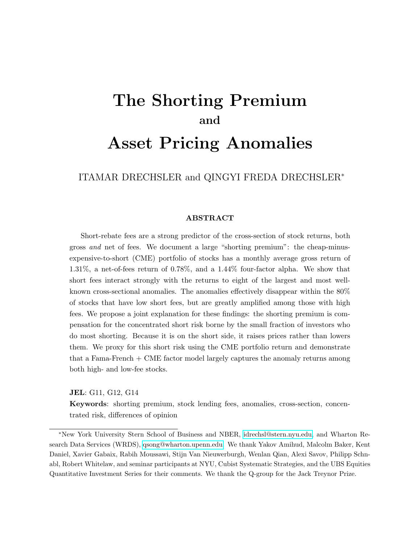# <span id="page-0-0"></span>The Shorting Premium and

# Asset Pricing Anomalies

ITAMAR DRECHSLER and QINGYI FREDA DRECHSLER<sup>∗</sup>

#### ABSTRACT

Short-rebate fees are a strong predictor of the cross-section of stock returns, both gross and net of fees. We document a large "shorting premium": the cheap-minusexpensive-to-short (CME) portfolio of stocks has a monthly average gross return of 1.31%, a net-of-fees return of 0.78%, and a 1.44% four-factor alpha. We show that short fees interact strongly with the returns to eight of the largest and most wellknown cross-sectional anomalies. The anomalies effectively disappear within the 80% of stocks that have low short fees, but are greatly amplified among those with high fees. We propose a joint explanation for these findings: the shorting premium is compensation for the concentrated short risk borne by the small fraction of investors who do most shorting. Because it is on the short side, it raises prices rather than lowers them. We proxy for this short risk using the CME portfolio return and demonstrate that a Fama-French + CME factor model largely captures the anomaly returns among both high- and low-fee stocks.

JEL: G11, G12, G14

Keywords: shorting premium, stock lending fees, anomalies, cross-section, concentrated risk, differences of opinion

<sup>∗</sup>New York University Stern School of Business and NBER, [idrechsl@stern.nyu.edu,](mailto:idrechsl@stern.nyu.edu) and Wharton Research Data Services (WRDS), [qsong@wharton.upenn.edu.](mailto:qsong@wharton.upenn.edu) We thank Yakov Amihud, Malcolm Baker, Kent Daniel, Xavier Gabaix, Rabih Moussawi, Stijn Van Nieuwerburgh, Wenlan Qian, Alexi Savov, Philipp Schnabl, Robert Whitelaw, and seminar participants at NYU, Cubist Systematic Strategies, and the UBS Equities Quantitative Investment Series for their comments. We thank the Q-group for the Jack Treynor Prize.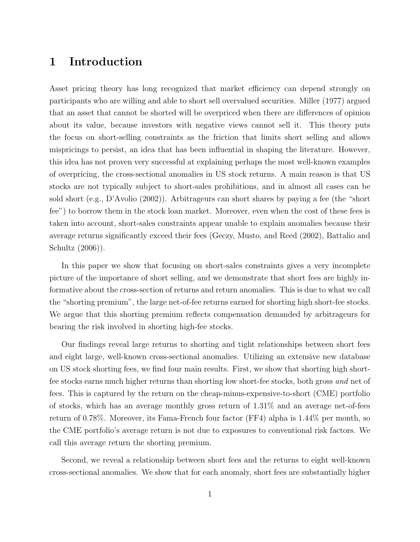# 1 Introduction

Asset pricing theory has long recognized that market efficiency can depend strongly on participants who are willing and able to short sell overvalued securities. Miller (1977) argued that an asset that cannot be shorted will be overpriced when there are differences of opinion about its value, because investors with negative views cannot sell it. This theory puts the focus on short-selling constraints as the friction that limits short selling and allows mispricings to persist, an idea that has been influential in shaping the literature. However, this idea has not proven very successful at explaining perhaps the most well-known examples of overpricing, the cross-sectional anomalies in US stock returns. A main reason is that US stocks are not typically subject to short-sales prohibitions, and in almost all cases can be sold short (e.g., D'Avolio (2002)). Arbitrageurs can short shares by paying a fee (the "short fee") to borrow them in the stock loan market. Moreover, even when the cost of these fees is taken into account, short-sales constraints appear unable to explain anomalies because their average returns significantly exceed their fees (Geczy, Musto, and Reed (2002), Battalio and Schultz (2006)).

In this paper we show that focusing on short-sales constraints gives a very incomplete picture of the importance of short selling, and we demonstrate that short fees are highly informative about the cross-section of returns and return anomalies. This is due to what we call the "shorting premium", the large net-of-fee returns earned for shorting high short-fee stocks. We argue that this shorting premium reflects compensation demanded by arbitrageurs for bearing the risk involved in shorting high-fee stocks.

Our findings reveal large returns to shorting and tight relationships between short fees and eight large, well-known cross-sectional anomalies. Utilizing an extensive new database on US stock shorting fees, we find four main results. First, we show that shorting high shortfee stocks earns much higher returns than shorting low short-fee stocks, both gross and net of fees. This is captured by the return on the cheap-minus-expensive-to-short (CME) portfolio of stocks, which has an average monthly gross return of 1.31% and an average net-of-fees return of 0.78%. Moreover, its Fama-French four factor (FF4) alpha is 1.44% per month, so the CME portfolio's average return is not due to exposures to conventional risk factors. We call this average return the shorting premium.

Second, we reveal a relationship between short fees and the returns to eight well-known cross-sectional anomalies. We show that for each anomaly, short fees are substantially higher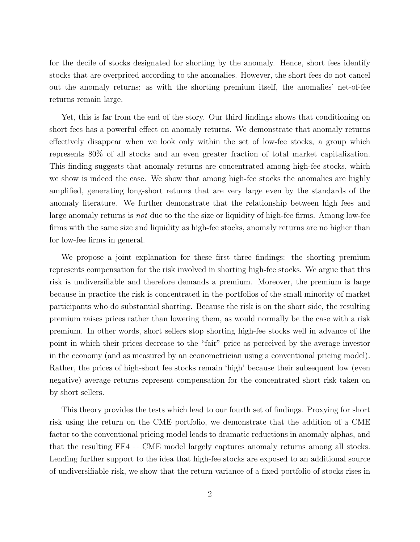for the decile of stocks designated for shorting by the anomaly. Hence, short fees identify stocks that are overpriced according to the anomalies. However, the short fees do not cancel out the anomaly returns; as with the shorting premium itself, the anomalies' net-of-fee returns remain large.

Yet, this is far from the end of the story. Our third findings shows that conditioning on short fees has a powerful effect on anomaly returns. We demonstrate that anomaly returns effectively disappear when we look only within the set of low-fee stocks, a group which represents 80% of all stocks and an even greater fraction of total market capitalization. This finding suggests that anomaly returns are concentrated among high-fee stocks, which we show is indeed the case. We show that among high-fee stocks the anomalies are highly amplified, generating long-short returns that are very large even by the standards of the anomaly literature. We further demonstrate that the relationship between high fees and large anomaly returns is *not* due to the the size or liquidity of high-fee firms. Among low-fee firms with the same size and liquidity as high-fee stocks, anomaly returns are no higher than for low-fee firms in general.

We propose a joint explanation for these first three findings: the shorting premium represents compensation for the risk involved in shorting high-fee stocks. We argue that this risk is undiversifiable and therefore demands a premium. Moreover, the premium is large because in practice the risk is concentrated in the portfolios of the small minority of market participants who do substantial shorting. Because the risk is on the short side, the resulting premium raises prices rather than lowering them, as would normally be the case with a risk premium. In other words, short sellers stop shorting high-fee stocks well in advance of the point in which their prices decrease to the "fair" price as perceived by the average investor in the economy (and as measured by an econometrician using a conventional pricing model). Rather, the prices of high-short fee stocks remain 'high' because their subsequent low (even negative) average returns represent compensation for the concentrated short risk taken on by short sellers.

This theory provides the tests which lead to our fourth set of findings. Proxying for short risk using the return on the CME portfolio, we demonstrate that the addition of a CME factor to the conventional pricing model leads to dramatic reductions in anomaly alphas, and that the resulting FF4 + CME model largely captures anomaly returns among all stocks. Lending further support to the idea that high-fee stocks are exposed to an additional source of undiversifiable risk, we show that the return variance of a fixed portfolio of stocks rises in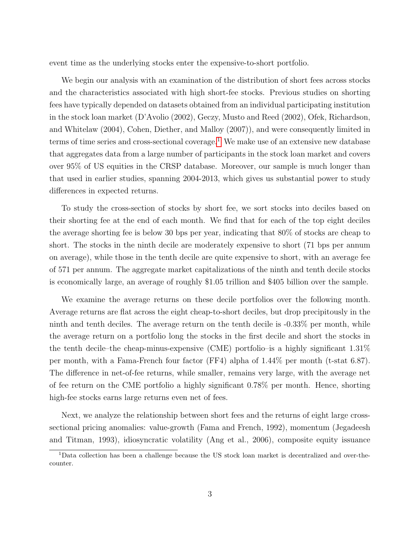event time as the underlying stocks enter the expensive-to-short portfolio.

We begin our analysis with an examination of the distribution of short fees across stocks and the characteristics associated with high short-fee stocks. Previous studies on shorting fees have typically depended on datasets obtained from an individual participating institution in the stock loan market (D'Avolio (2002), Geczy, Musto and Reed (2002), Ofek, Richardson, and Whitelaw (2004), Cohen, Diether, and Malloy (2007)), and were consequently limited in terms of time series and cross-sectional coverage.<sup>[1](#page-0-0)</sup> We make use of an extensive new database that aggregates data from a large number of participants in the stock loan market and covers over 95% of US equities in the CRSP database. Moreover, our sample is much longer than that used in earlier studies, spanning 2004-2013, which gives us substantial power to study differences in expected returns.

To study the cross-section of stocks by short fee, we sort stocks into deciles based on their shorting fee at the end of each month. We find that for each of the top eight deciles the average shorting fee is below 30 bps per year, indicating that 80% of stocks are cheap to short. The stocks in the ninth decile are moderately expensive to short (71 bps per annum on average), while those in the tenth decile are quite expensive to short, with an average fee of 571 per annum. The aggregate market capitalizations of the ninth and tenth decile stocks is economically large, an average of roughly \$1.05 trillion and \$405 billion over the sample.

We examine the average returns on these decile portfolios over the following month. Average returns are flat across the eight cheap-to-short deciles, but drop precipitously in the ninth and tenth deciles. The average return on the tenth decile is -0.33% per month, while the average return on a portfolio long the stocks in the first decile and short the stocks in the tenth decile–the cheap-minus-expensive (CME) portfolio–is a highly significant 1.31% per month, with a Fama-French four factor (FF4) alpha of 1.44% per month (t-stat 6.87). The difference in net-of-fee returns, while smaller, remains very large, with the average net of fee return on the CME portfolio a highly significant 0.78% per month. Hence, shorting high-fee stocks earns large returns even net of fees.

Next, we analyze the relationship between short fees and the returns of eight large crosssectional pricing anomalies: value-growth (Fama and French, 1992), momentum (Jegadeesh and Titman, 1993), idiosyncratic volatility (Ang et al., 2006), composite equity issuance

<sup>1</sup>Data collection has been a challenge because the US stock loan market is decentralized and over-thecounter.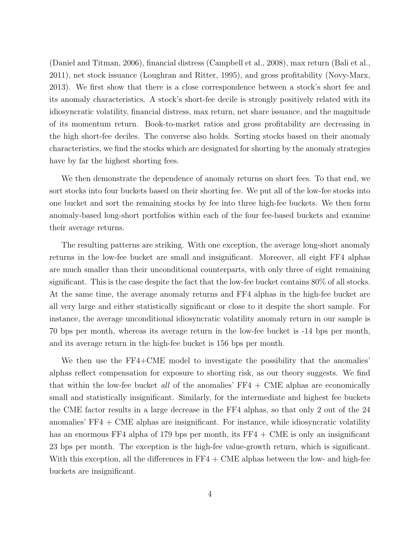(Daniel and Titman, 2006), financial distress (Campbell et al., 2008), max return (Bali et al., 2011), net stock issuance (Loughran and Ritter, 1995), and gross profitability (Novy-Marx, 2013). We first show that there is a close correspondence between a stock's short fee and its anomaly characteristics. A stock's short-fee decile is strongly positively related with its idiosyncratic volatility, financial distress, max return, net share issuance, and the magnitude of its momentum return. Book-to-market ratios and gross profitability are decreasing in the high short-fee deciles. The converse also holds. Sorting stocks based on their anomaly characteristics, we find the stocks which are designated for shorting by the anomaly strategies have by far the highest shorting fees.

We then demonstrate the dependence of anomaly returns on short fees. To that end, we sort stocks into four buckets based on their shorting fee. We put all of the low-fee stocks into one bucket and sort the remaining stocks by fee into three high-fee buckets. We then form anomaly-based long-short portfolios within each of the four fee-based buckets and examine their average returns.

The resulting patterns are striking. With one exception, the average long-short anomaly returns in the low-fee bucket are small and insignificant. Moreover, all eight FF4 alphas are much smaller than their unconditional counterparts, with only three of eight remaining significant. This is the case despite the fact that the low-fee bucket contains 80% of all stocks. At the same time, the average anomaly returns and FF4 alphas in the high-fee bucket are all very large and either statistically significant or close to it despite the short sample. For instance, the average unconditional idiosyncratic volatility anomaly return in our sample is 70 bps per month, whereas its average return in the low-fee bucket is -14 bps per month, and its average return in the high-fee bucket is 156 bps per month.

We then use the FF4+CME model to investigate the possibility that the anomalies' alphas reflect compensation for exposure to shorting risk, as our theory suggests. We find that within the low-fee bucket *all* of the anomalies'  $FF4 + CME$  alphas are economically small and statistically insignificant. Similarly, for the intermediate and highest fee buckets the CME factor results in a large decrease in the FF4 alphas, so that only 2 out of the 24 anomalies'  $FF4 + CME$  alphas are insignificant. For instance, while idiosyncratic volatility has an enormous FF4 alpha of 179 bps per month, its FF4 + CME is only an insignificant 23 bps per month. The exception is the high-fee value-growth return, which is significant. With this exception, all the differences in  $FF4 + CME$  alphas between the low- and high-fee buckets are insignificant.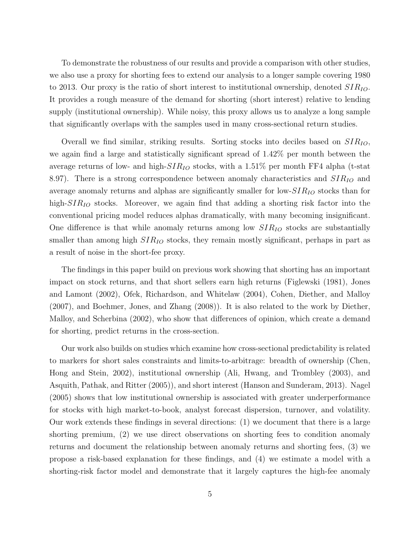To demonstrate the robustness of our results and provide a comparison with other studies, we also use a proxy for shorting fees to extend our analysis to a longer sample covering 1980 to 2013. Our proxy is the ratio of short interest to institutional ownership, denoted  $SIR_{IO}$ . It provides a rough measure of the demand for shorting (short interest) relative to lending supply (institutional ownership). While noisy, this proxy allows us to analyze a long sample that significantly overlaps with the samples used in many cross-sectional return studies.

Overall we find similar, striking results. Sorting stocks into deciles based on  $SIR_{IO}$ , we again find a large and statistically significant spread of 1.42% per month between the average returns of low- and high- $SIR_{IO}$  stocks, with a 1.51% per month FF4 alpha (t-stat 8.97). There is a strong correspondence between anomaly characteristics and  $SIR_{IO}$  and average anomaly returns and alphas are significantly smaller for low- $SIR_{IO}$  stocks than for high- $SIR_{IO}$  stocks. Moreover, we again find that adding a shorting risk factor into the conventional pricing model reduces alphas dramatically, with many becoming insignificant. One difference is that while anomaly returns among low  $SIR_{IO}$  stocks are substantially smaller than among high  $SIR_{IO}$  stocks, they remain mostly significant, perhaps in part as a result of noise in the short-fee proxy.

The findings in this paper build on previous work showing that shorting has an important impact on stock returns, and that short sellers earn high returns (Figlewski (1981), Jones and Lamont (2002), Ofek, Richardson, and Whitelaw (2004), Cohen, Diether, and Malloy (2007), and Boehmer, Jones, and Zhang (2008)). It is also related to the work by Diether, Malloy, and Scherbina (2002), who show that differences of opinion, which create a demand for shorting, predict returns in the cross-section.

Our work also builds on studies which examine how cross-sectional predictability is related to markers for short sales constraints and limits-to-arbitrage: breadth of ownership (Chen, Hong and Stein, 2002), institutional ownership (Ali, Hwang, and Trombley (2003), and Asquith, Pathak, and Ritter (2005)), and short interest (Hanson and Sunderam, 2013). Nagel (2005) shows that low institutional ownership is associated with greater underperformance for stocks with high market-to-book, analyst forecast dispersion, turnover, and volatility. Our work extends these findings in several directions: (1) we document that there is a large shorting premium, (2) we use direct observations on shorting fees to condition anomaly returns and document the relationship between anomaly returns and shorting fees, (3) we propose a risk-based explanation for these findings, and (4) we estimate a model with a shorting-risk factor model and demonstrate that it largely captures the high-fee anomaly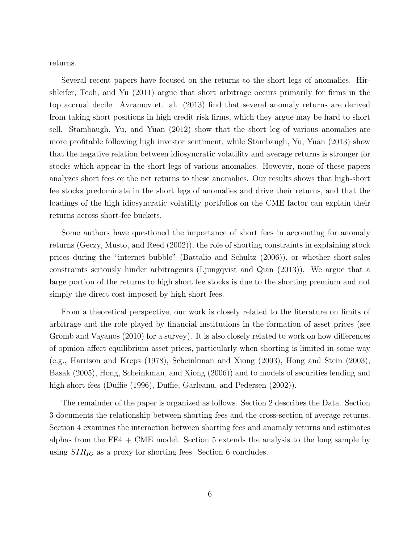returns.

Several recent papers have focused on the returns to the short legs of anomalies. Hirshleifer, Teoh, and Yu (2011) argue that short arbitrage occurs primarily for firms in the top accrual decile. Avramov et. al. (2013) find that several anomaly returns are derived from taking short positions in high credit risk firms, which they argue may be hard to short sell. Stambaugh, Yu, and Yuan (2012) show that the short leg of various anomalies are more profitable following high investor sentiment, while Stambaugh, Yu, Yuan (2013) show that the negative relation between idiosyncratic volatility and average returns is stronger for stocks which appear in the short legs of various anomalies. However, none of these papers analyzes short fees or the net returns to these anomalies. Our results shows that high-short fee stocks predominate in the short legs of anomalies and drive their returns, and that the loadings of the high idiosyncratic volatility portfolios on the CME factor can explain their returns across short-fee buckets.

Some authors have questioned the importance of short fees in accounting for anomaly returns (Geczy, Musto, and Reed (2002)), the role of shorting constraints in explaining stock prices during the "internet bubble" (Battalio and Schultz (2006)), or whether short-sales constraints seriously hinder arbitrageurs (Ljungqvist and Qian (2013)). We argue that a large portion of the returns to high short fee stocks is due to the shorting premium and not simply the direct cost imposed by high short fees.

From a theoretical perspective, our work is closely related to the literature on limits of arbitrage and the role played by financial institutions in the formation of asset prices (see Gromb and Vayanos (2010) for a survey). It is also closely related to work on how differences of opinion affect equilibrium asset prices, particularly when shorting is limited in some way (e.g., Harrison and Kreps (1978), Scheinkman and Xiong (2003), Hong and Stein (2003), Basak (2005), Hong, Scheinkman, and Xiong (2006)) and to models of securities lending and high short fees (Duffie (1996), Duffie, Garleanu, and Pedersen (2002)).

The remainder of the paper is organized as follows. Section 2 describes the Data. Section 3 documents the relationship between shorting fees and the cross-section of average returns. Section 4 examines the interaction between shorting fees and anomaly returns and estimates alphas from the FF4 + CME model. Section 5 extends the analysis to the long sample by using  $SIR_{IO}$  as a proxy for shorting fees. Section 6 concludes.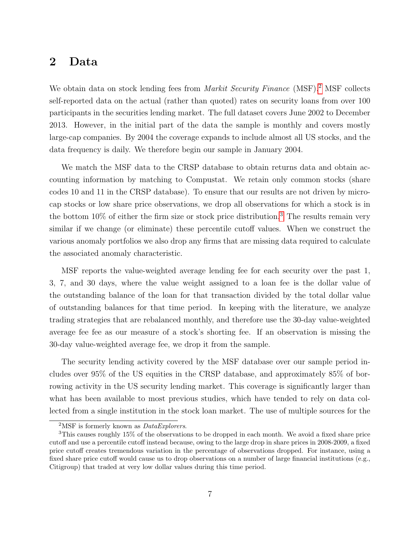## 2 Data

We obtain data on stock lending fees from *Markit Security Finance* (MSF).<sup>[2](#page-0-0)</sup> MSF collects self-reported data on the actual (rather than quoted) rates on security loans from over 100 participants in the securities lending market. The full dataset covers June 2002 to December 2013. However, in the initial part of the data the sample is monthly and covers mostly large-cap companies. By 2004 the coverage expands to include almost all US stocks, and the data frequency is daily. We therefore begin our sample in January 2004.

We match the MSF data to the CRSP database to obtain returns data and obtain accounting information by matching to Compustat. We retain only common stocks (share codes 10 and 11 in the CRSP database). To ensure that our results are not driven by microcap stocks or low share price observations, we drop all observations for which a stock is in the bottom  $10\%$  of either the firm size or stock price distribution.<sup>[3](#page-0-0)</sup> The results remain very similar if we change (or eliminate) these percentile cutoff values. When we construct the various anomaly portfolios we also drop any firms that are missing data required to calculate the associated anomaly characteristic.

MSF reports the value-weighted average lending fee for each security over the past 1, 3, 7, and 30 days, where the value weight assigned to a loan fee is the dollar value of the outstanding balance of the loan for that transaction divided by the total dollar value of outstanding balances for that time period. In keeping with the literature, we analyze trading strategies that are rebalanced monthly, and therefore use the 30-day value-weighted average fee fee as our measure of a stock's shorting fee. If an observation is missing the 30-day value-weighted average fee, we drop it from the sample.

The security lending activity covered by the MSF database over our sample period includes over 95% of the US equities in the CRSP database, and approximately 85% of borrowing activity in the US security lending market. This coverage is significantly larger than what has been available to most previous studies, which have tended to rely on data collected from a single institution in the stock loan market. The use of multiple sources for the

<sup>&</sup>lt;sup>2</sup>MSF is formerly known as  $DataExploters$ .

<sup>3</sup>This causes roughly 15% of the observations to be dropped in each month. We avoid a fixed share price cutoff and use a percentile cutoff instead because, owing to the large drop in share prices in 2008-2009, a fixed price cutoff creates tremendous variation in the percentage of observations dropped. For instance, using a fixed share price cutoff would cause us to drop observations on a number of large financial institutions (e.g., Citigroup) that traded at very low dollar values during this time period.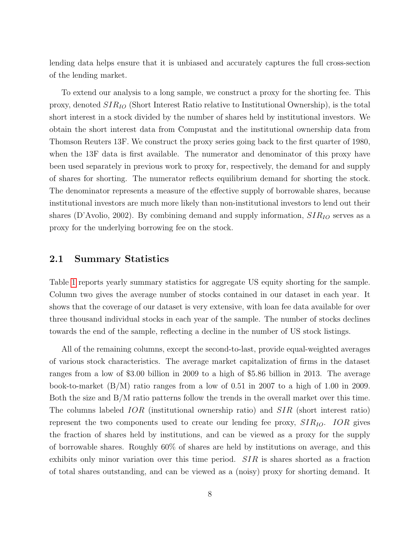lending data helps ensure that it is unbiased and accurately captures the full cross-section of the lending market.

To extend our analysis to a long sample, we construct a proxy for the shorting fee. This proxy, denoted  $SIR_{IO}$  (Short Interest Ratio relative to Institutional Ownership), is the total short interest in a stock divided by the number of shares held by institutional investors. We obtain the short interest data from Compustat and the institutional ownership data from Thomson Reuters 13F. We construct the proxy series going back to the first quarter of 1980, when the 13F data is first available. The numerator and denominator of this proxy have been used separately in previous work to proxy for, respectively, the demand for and supply of shares for shorting. The numerator reflects equilibrium demand for shorting the stock. The denominator represents a measure of the effective supply of borrowable shares, because institutional investors are much more likely than non-institutional investors to lend out their shares (D'Avolio, 2002). By combining demand and supply information,  $SIR_{IO}$  serves as a proxy for the underlying borrowing fee on the stock.

#### 2.1 Summary Statistics

Table [1](#page-47-0) reports yearly summary statistics for aggregate US equity shorting for the sample. Column two gives the average number of stocks contained in our dataset in each year. It shows that the coverage of our dataset is very extensive, with loan fee data available for over three thousand individual stocks in each year of the sample. The number of stocks declines towards the end of the sample, reflecting a decline in the number of US stock listings.

All of the remaining columns, except the second-to-last, provide equal-weighted averages of various stock characteristics. The average market capitalization of firms in the dataset ranges from a low of \$3.00 billion in 2009 to a high of \$5.86 billion in 2013. The average book-to-market (B/M) ratio ranges from a low of 0.51 in 2007 to a high of 1.00 in 2009. Both the size and B/M ratio patterns follow the trends in the overall market over this time. The columns labeled IOR (institutional ownership ratio) and SIR (short interest ratio) represent the two components used to create our lending fee proxy,  $SIR_{IO}$ . IOR gives the fraction of shares held by institutions, and can be viewed as a proxy for the supply of borrowable shares. Roughly 60% of shares are held by institutions on average, and this exhibits only minor variation over this time period.  $SIR$  is shares shorted as a fraction of total shares outstanding, and can be viewed as a (noisy) proxy for shorting demand. It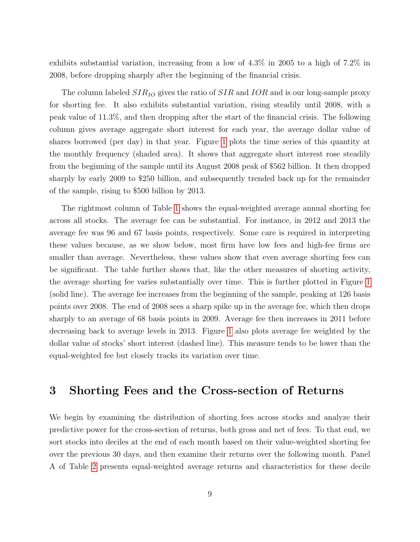exhibits substantial variation, increasing from a low of 4.3% in 2005 to a high of 7.2% in 2008, before dropping sharply after the beginning of the financial crisis.

The column labeled  $SIR_{IO}$  gives the ratio of  $SIR$  and  $IOR$  and is our long-sample proxy for shorting fee. It also exhibits substantial variation, rising steadily until 2008, with a peak value of 11.3%, and then dropping after the start of the financial crisis. The following column gives average aggregate short interest for each year, the average dollar value of shares borrowed (per day) in that year. Figure [1](#page-40-0) plots the time series of this quantity at the monthly frequency (shaded area). It shows that aggregate short interest rose steadily from the beginning of the sample until its August 2008 peak of \$562 billion. It then dropped sharply by early 2009 to \$250 billion, and subsequently trended back up for the remainder of the sample, rising to \$500 billion by 2013.

The rightmost column of Table [1](#page-47-0) shows the equal-weighted average annual shorting fee across all stocks. The average fee can be substantial. For instance, in 2012 and 2013 the average fee was 96 and 67 basis points, respectively. Some care is required in interpreting these values because, as we show below, most firm have low fees and high-fee firms are smaller than average. Nevertheless, these values show that even average shorting fees can be significant. The table further shows that, like the other measures of shorting activity, the average shorting fee varies substantially over time. This is further plotted in Figure [1](#page-40-0) (solid line). The average fee increases from the beginning of the sample, peaking at 126 basis points over 2008. The end of 2008 sees a sharp spike up in the average fee, which then drops sharply to an average of 68 basis points in 2009. Average fee then increases in 2011 before decreasing back to average levels in 2013. Figure [1](#page-40-0) also plots average fee weighted by the dollar value of stocks' short interest (dashed line). This measure tends to be lower than the equal-weighted fee but closely tracks its variation over time.

## 3 Shorting Fees and the Cross-section of Returns

We begin by examining the distribution of shorting fees across stocks and analyze their predictive power for the cross-section of returns, both gross and net of fees. To that end, we sort stocks into deciles at the end of each month based on their value-weighted shorting fee over the previous 30 days, and then examine their returns over the following month. Panel A of Table [2](#page-48-0) presents equal-weighted average returns and characteristics for these decile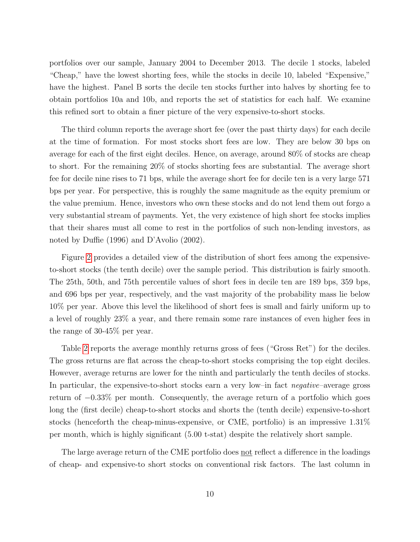portfolios over our sample, January 2004 to December 2013. The decile 1 stocks, labeled "Cheap," have the lowest shorting fees, while the stocks in decile 10, labeled "Expensive," have the highest. Panel B sorts the decile ten stocks further into halves by shorting fee to obtain portfolios 10a and 10b, and reports the set of statistics for each half. We examine this refined sort to obtain a finer picture of the very expensive-to-short stocks.

The third column reports the average short fee (over the past thirty days) for each decile at the time of formation. For most stocks short fees are low. They are below 30 bps on average for each of the first eight deciles. Hence, on average, around 80% of stocks are cheap to short. For the remaining 20% of stocks shorting fees are substantial. The average short fee for decile nine rises to 71 bps, while the average short fee for decile ten is a very large 571 bps per year. For perspective, this is roughly the same magnitude as the equity premium or the value premium. Hence, investors who own these stocks and do not lend them out forgo a very substantial stream of payments. Yet, the very existence of high short fee stocks implies that their shares must all come to rest in the portfolios of such non-lending investors, as noted by Duffie (1996) and D'Avolio (2002).

Figure [2](#page-41-0) provides a detailed view of the distribution of short fees among the expensiveto-short stocks (the tenth decile) over the sample period. This distribution is fairly smooth. The 25th, 50th, and 75th percentile values of short fees in decile ten are 189 bps, 359 bps, and 696 bps per year, respectively, and the vast majority of the probability mass lie below 10% per year. Above this level the likelihood of short fees is small and fairly uniform up to a level of roughly 23% a year, and there remain some rare instances of even higher fees in the range of 30-45% per year.

Table [2](#page-48-0) reports the average monthly returns gross of fees ("Gross Ret") for the deciles. The gross returns are flat across the cheap-to-short stocks comprising the top eight deciles. However, average returns are lower for the ninth and particularly the tenth deciles of stocks. In particular, the expensive-to-short stocks earn a very low-in fact *negative*-average gross return of −0.33% per month. Consequently, the average return of a portfolio which goes long the (first decile) cheap-to-short stocks and shorts the (tenth decile) expensive-to-short stocks (henceforth the cheap-minus-expensive, or CME, portfolio) is an impressive 1.31% per month, which is highly significant (5.00 t-stat) despite the relatively short sample.

The large average return of the CME portfolio does not reflect a difference in the loadings of cheap- and expensive-to short stocks on conventional risk factors. The last column in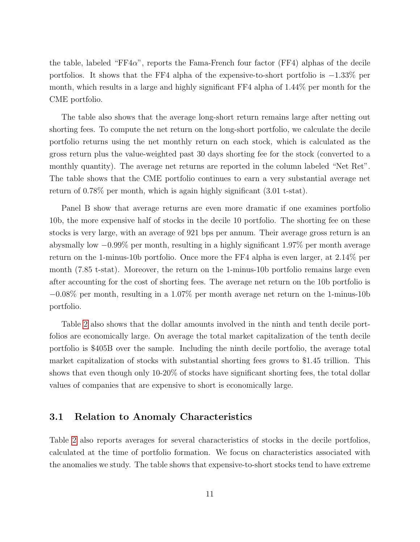the table, labeled "FF4α", reports the Fama-French four factor (FF4) alphas of the decile portfolios. It shows that the FF4 alpha of the expensive-to-short portfolio is −1.33% per month, which results in a large and highly significant FF4 alpha of 1.44% per month for the CME portfolio.

The table also shows that the average long-short return remains large after netting out shorting fees. To compute the net return on the long-short portfolio, we calculate the decile portfolio returns using the net monthly return on each stock, which is calculated as the gross return plus the value-weighted past 30 days shorting fee for the stock (converted to a monthly quantity). The average net returns are reported in the column labeled "Net Ret". The table shows that the CME portfolio continues to earn a very substantial average net return of 0.78% per month, which is again highly significant (3.01 t-stat).

Panel B show that average returns are even more dramatic if one examines portfolio 10b, the more expensive half of stocks in the decile 10 portfolio. The shorting fee on these stocks is very large, with an average of 921 bps per annum. Their average gross return is an abysmally low −0.99% per month, resulting in a highly significant 1.97% per month average return on the 1-minus-10b portfolio. Once more the FF4 alpha is even larger, at 2.14% per month (7.85 t-stat). Moreover, the return on the 1-minus-10b portfolio remains large even after accounting for the cost of shorting fees. The average net return on the 10b portfolio is  $-0.08\%$  per month, resulting in a 1.07% per month average net return on the 1-minus-10b portfolio.

Table [2](#page-48-0) also shows that the dollar amounts involved in the ninth and tenth decile portfolios are economically large. On average the total market capitalization of the tenth decile portfolio is \$405B over the sample. Including the ninth decile portfolio, the average total market capitalization of stocks with substantial shorting fees grows to \$1.45 trillion. This shows that even though only 10-20% of stocks have significant shorting fees, the total dollar values of companies that are expensive to short is economically large.

#### 3.1 Relation to Anomaly Characteristics

Table [2](#page-48-0) also reports averages for several characteristics of stocks in the decile portfolios, calculated at the time of portfolio formation. We focus on characteristics associated with the anomalies we study. The table shows that expensive-to-short stocks tend to have extreme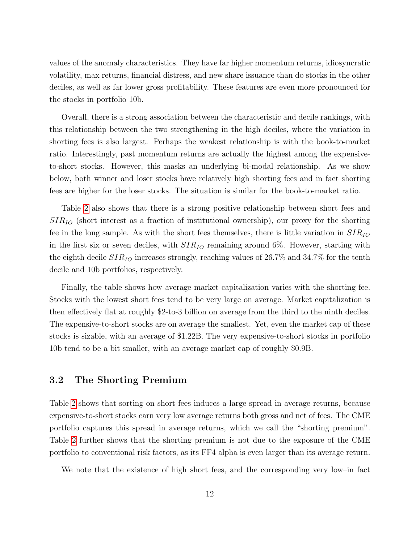values of the anomaly characteristics. They have far higher momentum returns, idiosyncratic volatility, max returns, financial distress, and new share issuance than do stocks in the other deciles, as well as far lower gross profitability. These features are even more pronounced for the stocks in portfolio 10b.

Overall, there is a strong association between the characteristic and decile rankings, with this relationship between the two strengthening in the high deciles, where the variation in shorting fees is also largest. Perhaps the weakest relationship is with the book-to-market ratio. Interestingly, past momentum returns are actually the highest among the expensiveto-short stocks. However, this masks an underlying bi-modal relationship. As we show below, both winner and loser stocks have relatively high shorting fees and in fact shorting fees are higher for the loser stocks. The situation is similar for the book-to-market ratio.

Table [2](#page-48-0) also shows that there is a strong positive relationship between short fees and  $SIR_{IO}$  (short interest as a fraction of institutional ownership), our proxy for the shorting fee in the long sample. As with the short fees themselves, there is little variation in  $SIR_{IO}$ in the first six or seven deciles, with  $SIR_{IO}$  remaining around 6%. However, starting with the eighth decile  $SIR_{IO}$  increases strongly, reaching values of 26.7% and 34.7% for the tenth decile and 10b portfolios, respectively.

Finally, the table shows how average market capitalization varies with the shorting fee. Stocks with the lowest short fees tend to be very large on average. Market capitalization is then effectively flat at roughly \$2-to-3 billion on average from the third to the ninth deciles. The expensive-to-short stocks are on average the smallest. Yet, even the market cap of these stocks is sizable, with an average of \$1.22B. The very expensive-to-short stocks in portfolio 10b tend to be a bit smaller, with an average market cap of roughly \$0.9B.

#### 3.2 The Shorting Premium

Table [2](#page-48-0) shows that sorting on short fees induces a large spread in average returns, because expensive-to-short stocks earn very low average returns both gross and net of fees. The CME portfolio captures this spread in average returns, which we call the "shorting premium". Table [2](#page-48-0) further shows that the shorting premium is not due to the exposure of the CME portfolio to conventional risk factors, as its FF4 alpha is even larger than its average return.

We note that the existence of high short fees, and the corresponding very low–in fact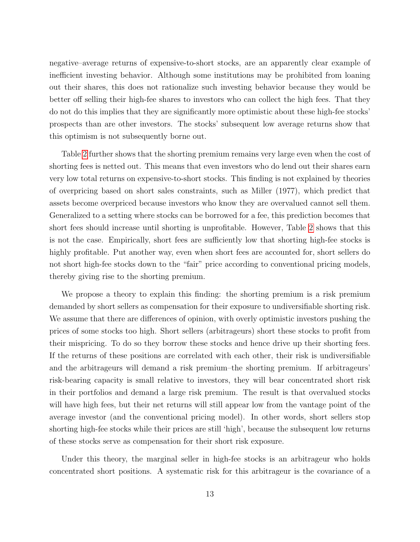negative–average returns of expensive-to-short stocks, are an apparently clear example of inefficient investing behavior. Although some institutions may be prohibited from loaning out their shares, this does not rationalize such investing behavior because they would be better off selling their high-fee shares to investors who can collect the high fees. That they do not do this implies that they are significantly more optimistic about these high-fee stocks' prospects than are other investors. The stocks' subsequent low average returns show that this optimism is not subsequently borne out.

Table [2](#page-48-0) further shows that the shorting premium remains very large even when the cost of shorting fees is netted out. This means that even investors who do lend out their shares earn very low total returns on expensive-to-short stocks. This finding is not explained by theories of overpricing based on short sales constraints, such as Miller (1977), which predict that assets become overpriced because investors who know they are overvalued cannot sell them. Generalized to a setting where stocks can be borrowed for a fee, this prediction becomes that short fees should increase until shorting is unprofitable. However, Table [2](#page-48-0) shows that this is not the case. Empirically, short fees are sufficiently low that shorting high-fee stocks is highly profitable. Put another way, even when short fees are accounted for, short sellers do not short high-fee stocks down to the "fair" price according to conventional pricing models, thereby giving rise to the shorting premium.

We propose a theory to explain this finding: the shorting premium is a risk premium demanded by short sellers as compensation for their exposure to undiversifiable shorting risk. We assume that there are differences of opinion, with overly optimistic investors pushing the prices of some stocks too high. Short sellers (arbitrageurs) short these stocks to profit from their mispricing. To do so they borrow these stocks and hence drive up their shorting fees. If the returns of these positions are correlated with each other, their risk is undiversifiable and the arbitrageurs will demand a risk premium–the shorting premium. If arbitrageurs' risk-bearing capacity is small relative to investors, they will bear concentrated short risk in their portfolios and demand a large risk premium. The result is that overvalued stocks will have high fees, but their net returns will still appear low from the vantage point of the average investor (and the conventional pricing model). In other words, short sellers stop shorting high-fee stocks while their prices are still 'high', because the subsequent low returns of these stocks serve as compensation for their short risk exposure.

Under this theory, the marginal seller in high-fee stocks is an arbitrageur who holds concentrated short positions. A systematic risk for this arbitrageur is the covariance of a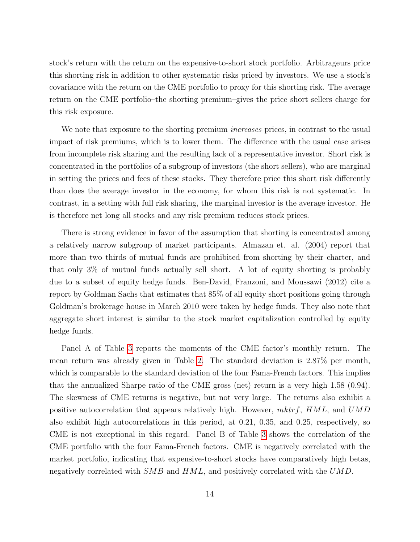stock's return with the return on the expensive-to-short stock portfolio. Arbitrageurs price this shorting risk in addition to other systematic risks priced by investors. We use a stock's covariance with the return on the CME portfolio to proxy for this shorting risk. The average return on the CME portfolio–the shorting premium–gives the price short sellers charge for this risk exposure.

We note that exposure to the shorting premium *increases* prices, in contrast to the usual impact of risk premiums, which is to lower them. The difference with the usual case arises from incomplete risk sharing and the resulting lack of a representative investor. Short risk is concentrated in the portfolios of a subgroup of investors (the short sellers), who are marginal in setting the prices and fees of these stocks. They therefore price this short risk differently than does the average investor in the economy, for whom this risk is not systematic. In contrast, in a setting with full risk sharing, the marginal investor is the average investor. He is therefore net long all stocks and any risk premium reduces stock prices.

There is strong evidence in favor of the assumption that shorting is concentrated among a relatively narrow subgroup of market participants. Almazan et. al. (2004) report that more than two thirds of mutual funds are prohibited from shorting by their charter, and that only 3% of mutual funds actually sell short. A lot of equity shorting is probably due to a subset of equity hedge funds. Ben-David, Franzoni, and Moussawi (2012) cite a report by Goldman Sachs that estimates that 85% of all equity short positions going through Goldman's brokerage house in March 2010 were taken by hedge funds. They also note that aggregate short interest is similar to the stock market capitalization controlled by equity hedge funds.

Panel A of Table [3](#page-49-0) reports the moments of the CME factor's monthly return. The mean return was already given in Table [2.](#page-48-0) The standard deviation is 2.87% per month, which is comparable to the standard deviation of the four Fama-French factors. This implies that the annualized Sharpe ratio of the CME gross (net) return is a very high 1.58 (0.94). The skewness of CME returns is negative, but not very large. The returns also exhibit a positive autocorrelation that appears relatively high. However,  $m k t f$ ,  $H M L$ , and  $U M D$ also exhibit high autocorrelations in this period, at 0.21, 0.35, and 0.25, respectively, so CME is not exceptional in this regard. Panel B of Table [3](#page-49-0) shows the correlation of the CME portfolio with the four Fama-French factors. CME is negatively correlated with the market portfolio, indicating that expensive-to-short stocks have comparatively high betas, negatively correlated with  $SMB$  and  $HML$ , and positively correlated with the  $UMD$ .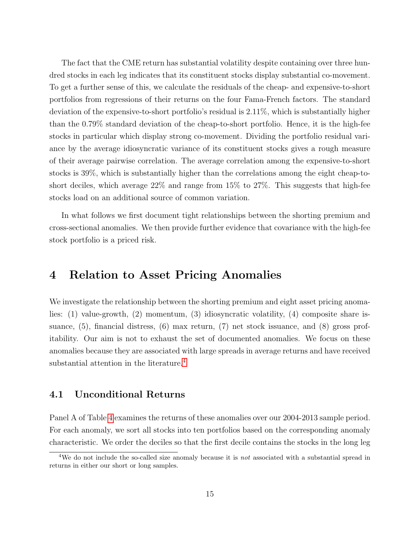The fact that the CME return has substantial volatility despite containing over three hundred stocks in each leg indicates that its constituent stocks display substantial co-movement. To get a further sense of this, we calculate the residuals of the cheap- and expensive-to-short portfolios from regressions of their returns on the four Fama-French factors. The standard deviation of the expensive-to-short portfolio's residual is 2.11%, which is substantially higher than the 0.79% standard deviation of the cheap-to-short portfolio. Hence, it is the high-fee stocks in particular which display strong co-movement. Dividing the portfolio residual variance by the average idiosyncratic variance of its constituent stocks gives a rough measure of their average pairwise correlation. The average correlation among the expensive-to-short stocks is 39%, which is substantially higher than the correlations among the eight cheap-toshort deciles, which average 22% and range from 15% to 27%. This suggests that high-fee stocks load on an additional source of common variation.

In what follows we first document tight relationships between the shorting premium and cross-sectional anomalies. We then provide further evidence that covariance with the high-fee stock portfolio is a priced risk.

# <span id="page-15-0"></span>4 Relation to Asset Pricing Anomalies

We investigate the relationship between the shorting premium and eight asset pricing anomalies: (1) value-growth, (2) momentum, (3) idiosyncratic volatility, (4) composite share issuance, (5), financial distress, (6) max return, (7) net stock issuance, and (8) gross profitability. Our aim is not to exhaust the set of documented anomalies. We focus on these anomalies because they are associated with large spreads in average returns and have received substantial attention in the literature.<sup>[4](#page-0-0)</sup>

#### 4.1 Unconditional Returns

Panel A of Table [4](#page-50-0) examines the returns of these anomalies over our 2004-2013 sample period. For each anomaly, we sort all stocks into ten portfolios based on the corresponding anomaly characteristic. We order the deciles so that the first decile contains the stocks in the long leg

<sup>&</sup>lt;sup>4</sup>We do not include the so-called size anomaly because it is *not* associated with a substantial spread in returns in either our short or long samples.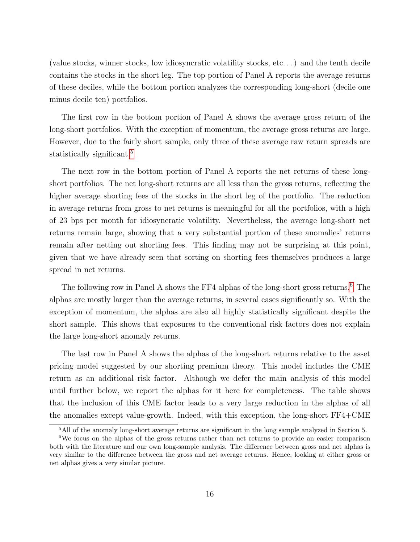(value stocks, winner stocks, low idiosyncratic volatility stocks, etc. . . ) and the tenth decile contains the stocks in the short leg. The top portion of Panel A reports the average returns of these deciles, while the bottom portion analyzes the corresponding long-short (decile one minus decile ten) portfolios.

The first row in the bottom portion of Panel A shows the average gross return of the long-short portfolios. With the exception of momentum, the average gross returns are large. However, due to the fairly short sample, only three of these average raw return spreads are statistically significant.<sup>[5](#page-0-0)</sup>

The next row in the bottom portion of Panel A reports the net returns of these longshort portfolios. The net long-short returns are all less than the gross returns, reflecting the higher average shorting fees of the stocks in the short leg of the portfolio. The reduction in average returns from gross to net returns is meaningful for all the portfolios, with a high of 23 bps per month for idiosyncratic volatility. Nevertheless, the average long-short net returns remain large, showing that a very substantial portion of these anomalies' returns remain after netting out shorting fees. This finding may not be surprising at this point, given that we have already seen that sorting on shorting fees themselves produces a large spread in net returns.

The following row in Panel A shows the FF4 alphas of the long-short gross returns.<sup>[6](#page-0-0)</sup> The alphas are mostly larger than the average returns, in several cases significantly so. With the exception of momentum, the alphas are also all highly statistically significant despite the short sample. This shows that exposures to the conventional risk factors does not explain the large long-short anomaly returns.

The last row in Panel A shows the alphas of the long-short returns relative to the asset pricing model suggested by our shorting premium theory. This model includes the CME return as an additional risk factor. Although we defer the main analysis of this model until further below, we report the alphas for it here for completeness. The table shows that the inclusion of this CME factor leads to a very large reduction in the alphas of all the anomalies except value-growth. Indeed, with this exception, the long-short FF4+CME

<sup>5</sup>All of the anomaly long-short average returns are significant in the long sample analyzed in Section 5.

<sup>6</sup>We focus on the alphas of the gross returns rather than net returns to provide an easier comparison both with the literature and our own long-sample analysis. The difference between gross and net alphas is very similar to the difference between the gross and net average returns. Hence, looking at either gross or net alphas gives a very similar picture.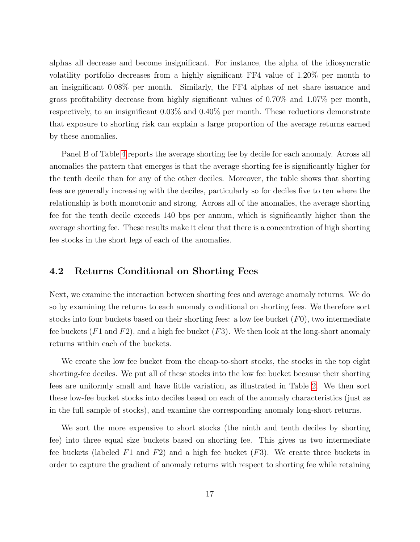alphas all decrease and become insignificant. For instance, the alpha of the idiosyncratic volatility portfolio decreases from a highly significant FF4 value of 1.20% per month to an insignificant 0.08% per month. Similarly, the FF4 alphas of net share issuance and gross profitability decrease from highly significant values of 0.70% and 1.07% per month, respectively, to an insignificant 0.03% and 0.40% per month. These reductions demonstrate that exposure to shorting risk can explain a large proportion of the average returns earned by these anomalies.

Panel B of Table [4](#page-50-0) reports the average shorting fee by decile for each anomaly. Across all anomalies the pattern that emerges is that the average shorting fee is significantly higher for the tenth decile than for any of the other deciles. Moreover, the table shows that shorting fees are generally increasing with the deciles, particularly so for deciles five to ten where the relationship is both monotonic and strong. Across all of the anomalies, the average shorting fee for the tenth decile exceeds 140 bps per annum, which is significantly higher than the average shorting fee. These results make it clear that there is a concentration of high shorting fee stocks in the short legs of each of the anomalies.

#### 4.2 Returns Conditional on Shorting Fees

Next, we examine the interaction between shorting fees and average anomaly returns. We do so by examining the returns to each anomaly conditional on shorting fees. We therefore sort stocks into four buckets based on their shorting fees: a low fee bucket  $(F0)$ , two intermediate fee buckets  $(F1 \text{ and } F2)$ , and a high fee bucket  $(F3)$ . We then look at the long-short anomaly returns within each of the buckets.

We create the low fee bucket from the cheap-to-short stocks, the stocks in the top eight shorting-fee deciles. We put all of these stocks into the low fee bucket because their shorting fees are uniformly small and have little variation, as illustrated in Table [2.](#page-48-0) We then sort these low-fee bucket stocks into deciles based on each of the anomaly characteristics (just as in the full sample of stocks), and examine the corresponding anomaly long-short returns.

We sort the more expensive to short stocks (the ninth and tenth deciles by shorting fee) into three equal size buckets based on shorting fee. This gives us two intermediate fee buckets (labeled F1 and F2) and a high fee bucket  $(F3)$ . We create three buckets in order to capture the gradient of anomaly returns with respect to shorting fee while retaining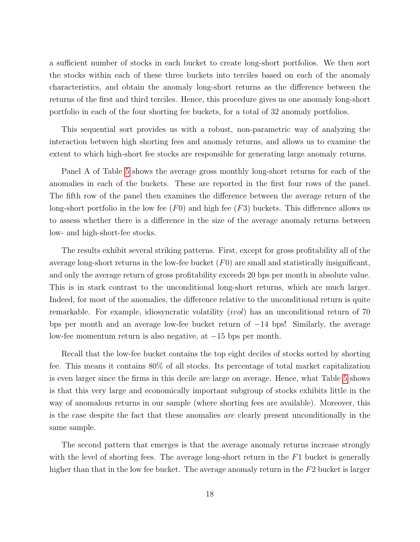a sufficient number of stocks in each bucket to create long-short portfolios. We then sort the stocks within each of these three buckets into terciles based on each of the anomaly characteristics, and obtain the anomaly long-short returns as the difference between the returns of the first and third terciles. Hence, this procedure gives us one anomaly long-short portfolio in each of the four shorting fee buckets, for a total of 32 anomaly portfolios.

This sequential sort provides us with a robust, non-parametric way of analyzing the interaction between high shorting fees and anomaly returns, and allows us to examine the extent to which high-short fee stocks are responsible for generating large anomaly returns.

Panel A of Table [5](#page-51-0) shows the average gross monthly long-short returns for each of the anomalies in each of the buckets. These are reported in the first four rows of the panel. The fifth row of the panel then examines the difference between the average return of the long-short portfolio in the low fee  $(F0)$  and high fee  $(F3)$  buckets. This difference allows us to assess whether there is a difference in the size of the average anomaly returns between low- and high-short-fee stocks.

The results exhibit several striking patterns. First, except for gross profitability all of the average long-short returns in the low-fee bucket  $(F0)$  are small and statistically insignificant, and only the average return of gross profitability exceeds 20 bps per month in absolute value. This is in stark contrast to the unconditional long-short returns, which are much larger. Indeed, for most of the anomalies, the difference relative to the unconditional return is quite remarkable. For example, idiosyncratic volatility (ivol) has an unconditional return of 70 bps per month and an average low-fee bucket return of −14 bps! Similarly, the average low-fee momentum return is also negative, at −15 bps per month.

Recall that the low-fee bucket contains the top eight deciles of stocks sorted by shorting fee. This means it contains 80% of all stocks. Its percentage of total market capitalization is even larger since the firms in this decile are large on average. Hence, what Table [5](#page-51-0) shows is that this very large and economically important subgroup of stocks exhibits little in the way of anomalous returns in our sample (where shorting fees are available). Moreover, this is the case despite the fact that these anomalies are clearly present unconditionally in the same sample.

The second pattern that emerges is that the average anomaly returns increase strongly with the level of shorting fees. The average long-short return in the  $F1$  bucket is generally higher than that in the low fee bucket. The average anomaly return in the  $F2$  bucket is larger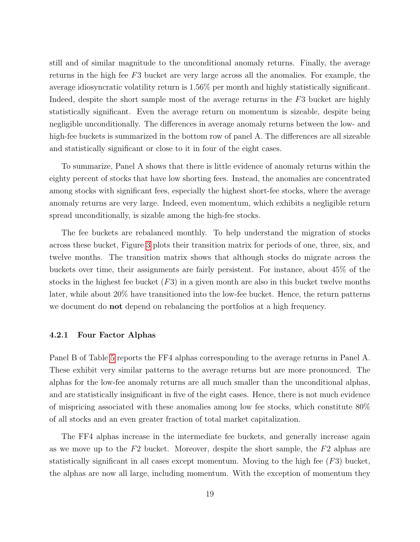still and of similar magnitude to the unconditional anomaly returns. Finally, the average returns in the high fee F3 bucket are very large across all the anomalies. For example, the average idiosyncratic volatility return is 1.56% per month and highly statistically significant. Indeed, despite the short sample most of the average returns in the F3 bucket are highly statistically significant. Even the average return on momentum is sizeable, despite being negligible unconditionally. The differences in average anomaly returns between the low- and high-fee buckets is summarized in the bottom row of panel A. The differences are all sizeable and statistically significant or close to it in four of the eight cases.

To summarize, Panel A shows that there is little evidence of anomaly returns within the eighty percent of stocks that have low shorting fees. Instead, the anomalies are concentrated among stocks with significant fees, especially the highest short-fee stocks, where the average anomaly returns are very large. Indeed, even momentum, which exhibits a negligible return spread unconditionally, is sizable among the high-fee stocks.

The fee buckets are rebalanced monthly. To help understand the migration of stocks across these bucket, Figure [3](#page-42-0) plots their transition matrix for periods of one, three, six, and twelve months. The transition matrix shows that although stocks do migrate across the buckets over time, their assignments are fairly persistent. For instance, about 45% of the stocks in the highest fee bucket  $(F3)$  in a given month are also in this bucket twelve months later, while about 20% have transitioned into the low-fee bucket. Hence, the return patterns we document do not depend on rebalancing the portfolios at a high frequency.

#### 4.2.1 Four Factor Alphas

Panel B of Table [5](#page-51-0) reports the FF4 alphas corresponding to the average returns in Panel A. These exhibit very similar patterns to the average returns but are more pronounced. The alphas for the low-fee anomaly returns are all much smaller than the unconditional alphas, and are statistically insignificant in five of the eight cases. Hence, there is not much evidence of mispricing associated with these anomalies among low fee stocks, which constitute 80% of all stocks and an even greater fraction of total market capitalization.

The FF4 alphas increase in the intermediate fee buckets, and generally increase again as we move up to the  $F2$  bucket. Moreover, despite the short sample, the  $F2$  alphas are statistically significant in all cases except momentum. Moving to the high fee  $(F3)$  bucket, the alphas are now all large, including momentum. With the exception of momentum they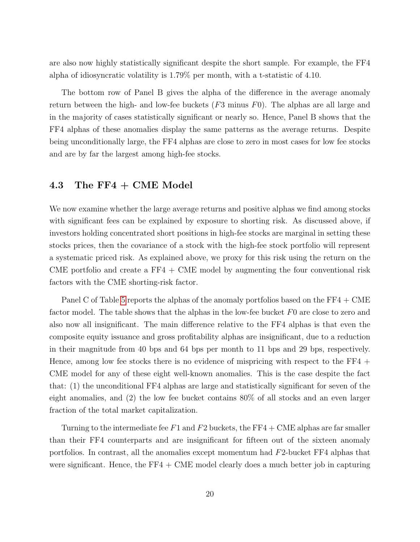are also now highly statistically significant despite the short sample. For example, the FF4 alpha of idiosyncratic volatility is 1.79% per month, with a t-statistic of 4.10.

The bottom row of Panel B gives the alpha of the difference in the average anomaly return between the high- and low-fee buckets  $(F3 \text{ minus } F0)$ . The alphas are all large and in the majority of cases statistically significant or nearly so. Hence, Panel B shows that the FF4 alphas of these anomalies display the same patterns as the average returns. Despite being unconditionally large, the FF4 alphas are close to zero in most cases for low fee stocks and are by far the largest among high-fee stocks.

#### 4.3 The FF4 + CME Model

We now examine whether the large average returns and positive alphas we find among stocks with significant fees can be explained by exposure to shorting risk. As discussed above, if investors holding concentrated short positions in high-fee stocks are marginal in setting these stocks prices, then the covariance of a stock with the high-fee stock portfolio will represent a systematic priced risk. As explained above, we proxy for this risk using the return on the CME portfolio and create a  $FF4 + CME$  model by augmenting the four conventional risk factors with the CME shorting-risk factor.

Panel C of Table [5](#page-51-0) reports the alphas of the anomaly portfolios based on the FF4 + CME factor model. The table shows that the alphas in the low-fee bucket F0 are close to zero and also now all insignificant. The main difference relative to the FF4 alphas is that even the composite equity issuance and gross profitability alphas are insignificant, due to a reduction in their magnitude from 40 bps and 64 bps per month to 11 bps and 29 bps, respectively. Hence, among low fee stocks there is no evidence of mispricing with respect to the FF4 + CME model for any of these eight well-known anomalies. This is the case despite the fact that: (1) the unconditional FF4 alphas are large and statistically significant for seven of the eight anomalies, and (2) the low fee bucket contains 80% of all stocks and an even larger fraction of the total market capitalization.

Turning to the intermediate fee F1 and F2 buckets, the FF4 + CME alphas are far smaller than their FF4 counterparts and are insignificant for fifteen out of the sixteen anomaly portfolios. In contrast, all the anomalies except momentum had F2-bucket FF4 alphas that were significant. Hence, the  $FF4 + CME$  model clearly does a much better job in capturing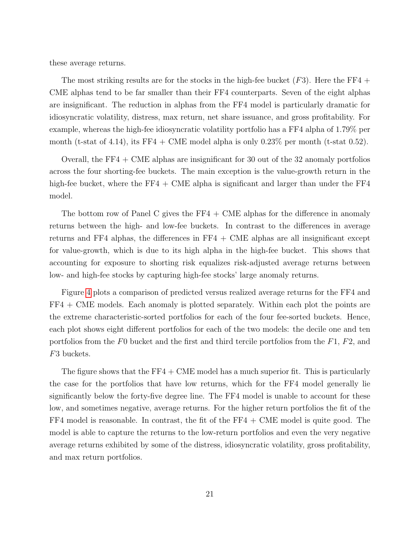these average returns.

The most striking results are for the stocks in the high-fee bucket  $(F3)$ . Here the FF4 + CME alphas tend to be far smaller than their FF4 counterparts. Seven of the eight alphas are insignificant. The reduction in alphas from the FF4 model is particularly dramatic for idiosyncratic volatility, distress, max return, net share issuance, and gross profitability. For example, whereas the high-fee idiosyncratic volatility portfolio has a FF4 alpha of 1.79% per month (t-stat of 4.14), its FF4 + CME model alpha is only  $0.23\%$  per month (t-stat 0.52).

Overall, the  $FF4 + CME$  alphas are insignificant for 30 out of the 32 anomaly portfolios across the four shorting-fee buckets. The main exception is the value-growth return in the high-fee bucket, where the  $FF4 + CME$  alpha is significant and larger than under the  $FF4$ model.

The bottom row of Panel C gives the  $FF4 + CME$  alphas for the difference in anomaly returns between the high- and low-fee buckets. In contrast to the differences in average returns and FF4 alphas, the differences in FF4  $+$  CME alphas are all insignificant except for value-growth, which is due to its high alpha in the high-fee bucket. This shows that accounting for exposure to shorting risk equalizes risk-adjusted average returns between low- and high-fee stocks by capturing high-fee stocks' large anomaly returns.

Figure [4](#page-43-0) plots a comparison of predicted versus realized average returns for the FF4 and FF4 + CME models. Each anomaly is plotted separately. Within each plot the points are the extreme characteristic-sorted portfolios for each of the four fee-sorted buckets. Hence, each plot shows eight different portfolios for each of the two models: the decile one and ten portfolios from the F0 bucket and the first and third tercile portfolios from the F1, F2, and F3 buckets.

The figure shows that the  $FF4 + CME$  model has a much superior fit. This is particularly the case for the portfolios that have low returns, which for the FF4 model generally lie significantly below the forty-five degree line. The FF4 model is unable to account for these low, and sometimes negative, average returns. For the higher return portfolios the fit of the  $FF4$  model is reasonable. In contrast, the fit of the  $FF4 + CME$  model is quite good. The model is able to capture the returns to the low-return portfolios and even the very negative average returns exhibited by some of the distress, idiosyncratic volatility, gross profitability, and max return portfolios.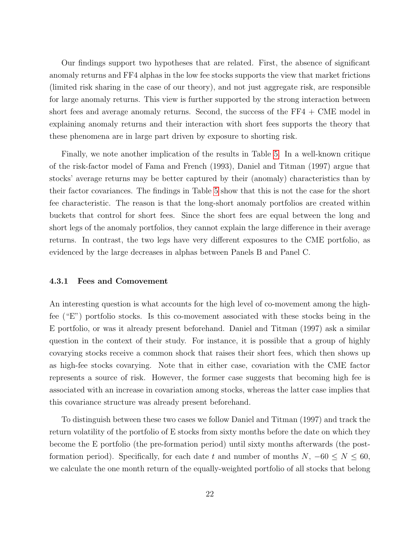Our findings support two hypotheses that are related. First, the absence of significant anomaly returns and FF4 alphas in the low fee stocks supports the view that market frictions (limited risk sharing in the case of our theory), and not just aggregate risk, are responsible for large anomaly returns. This view is further supported by the strong interaction between short fees and average anomaly returns. Second, the success of the  $FF4 + CME$  model in explaining anomaly returns and their interaction with short fees supports the theory that these phenomena are in large part driven by exposure to shorting risk.

Finally, we note another implication of the results in Table [5.](#page-51-0) In a well-known critique of the risk-factor model of Fama and French (1993), Daniel and Titman (1997) argue that stocks' average returns may be better captured by their (anomaly) characteristics than by their factor covariances. The findings in Table [5](#page-51-0) show that this is not the case for the short fee characteristic. The reason is that the long-short anomaly portfolios are created within buckets that control for short fees. Since the short fees are equal between the long and short legs of the anomaly portfolios, they cannot explain the large difference in their average returns. In contrast, the two legs have very different exposures to the CME portfolio, as evidenced by the large decreases in alphas between Panels B and Panel C.

#### <span id="page-22-0"></span>4.3.1 Fees and Comovement

An interesting question is what accounts for the high level of co-movement among the highfee ("E") portfolio stocks. Is this co-movement associated with these stocks being in the E portfolio, or was it already present beforehand. Daniel and Titman (1997) ask a similar question in the context of their study. For instance, it is possible that a group of highly covarying stocks receive a common shock that raises their short fees, which then shows up as high-fee stocks covarying. Note that in either case, covariation with the CME factor represents a source of risk. However, the former case suggests that becoming high fee is associated with an increase in covariation among stocks, whereas the latter case implies that this covariance structure was already present beforehand.

To distinguish between these two cases we follow Daniel and Titman (1997) and track the return volatility of the portfolio of E stocks from sixty months before the date on which they become the E portfolio (the pre-formation period) until sixty months afterwards (the postformation period). Specifically, for each date t and number of months  $N, -60 \le N \le 60$ , we calculate the one month return of the equally-weighted portfolio of all stocks that belong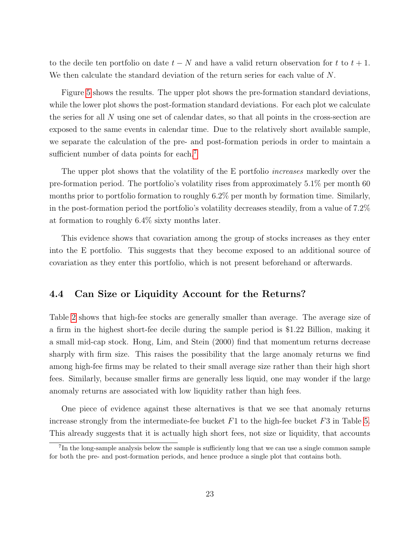to the decile ten portfolio on date  $t - N$  and have a valid return observation for t to  $t + 1$ . We then calculate the standard deviation of the return series for each value of N.

Figure [5](#page-44-0) shows the results. The upper plot shows the pre-formation standard deviations, while the lower plot shows the post-formation standard deviations. For each plot we calculate the series for all N using one set of calendar dates, so that all points in the cross-section are exposed to the same events in calendar time. Due to the relatively short available sample, we separate the calculation of the pre- and post-formation periods in order to maintain a sufficient number of data points for each.<sup>[7](#page-0-0)</sup>

The upper plot shows that the volatility of the E portfolio *increases* markedly over the pre-formation period. The portfolio's volatility rises from approximately 5.1% per month 60 months prior to portfolio formation to roughly 6.2% per month by formation time. Similarly, in the post-formation period the portfolio's volatility decreases steadily, from a value of 7.2% at formation to roughly 6.4% sixty months later.

This evidence shows that covariation among the group of stocks increases as they enter into the E portfolio. This suggests that they become exposed to an additional source of covariation as they enter this portfolio, which is not present beforehand or afterwards.

#### <span id="page-23-0"></span>4.4 Can Size or Liquidity Account for the Returns?

Table [2](#page-48-0) shows that high-fee stocks are generally smaller than average. The average size of a firm in the highest short-fee decile during the sample period is \$1.22 Billion, making it a small mid-cap stock. Hong, Lim, and Stein (2000) find that momentum returns decrease sharply with firm size. This raises the possibility that the large anomaly returns we find among high-fee firms may be related to their small average size rather than their high short fees. Similarly, because smaller firms are generally less liquid, one may wonder if the large anomaly returns are associated with low liquidity rather than high fees.

One piece of evidence against these alternatives is that we see that anomaly returns increase strongly from the intermediate-fee bucket  $F1$  to the high-fee bucket  $F3$  in Table [5.](#page-51-0) This already suggests that it is actually high short fees, not size or liquidity, that accounts

<sup>&</sup>lt;sup>7</sup>In the long-sample analysis below the sample is sufficiently long that we can use a single common sample for both the pre- and post-formation periods, and hence produce a single plot that contains both.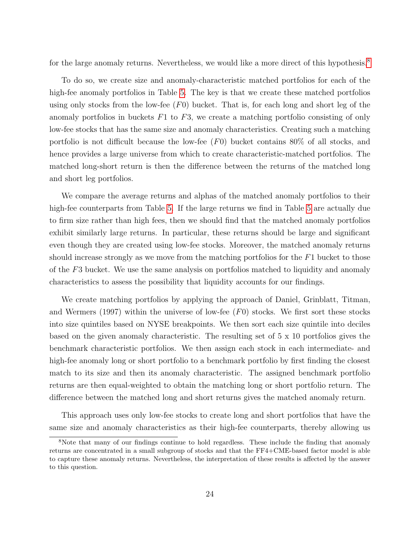for the large anomaly returns. Nevertheless, we would like a more direct of this hypothesis.<sup>[8](#page-0-0)</sup>

To do so, we create size and anomaly-characteristic matched portfolios for each of the high-fee anomaly portfolios in Table [5.](#page-51-0) The key is that we create these matched portfolios using only stocks from the low-fee  $(F0)$  bucket. That is, for each long and short leg of the anomaly portfolios in buckets  $F1$  to  $F3$ , we create a matching portfolio consisting of only low-fee stocks that has the same size and anomaly characteristics. Creating such a matching portfolio is not difficult because the low-fee  $(F0)$  bucket contains 80% of all stocks, and hence provides a large universe from which to create characteristic-matched portfolios. The matched long-short return is then the difference between the returns of the matched long and short leg portfolios.

We compare the average returns and alphas of the matched anomaly portfolios to their high-fee counterparts from Table [5.](#page-51-0) If the large returns we find in Table [5](#page-51-0) are actually due to firm size rather than high fees, then we should find that the matched anomaly portfolios exhibit similarly large returns. In particular, these returns should be large and significant even though they are created using low-fee stocks. Moreover, the matched anomaly returns should increase strongly as we move from the matching portfolios for the F1 bucket to those of the F3 bucket. We use the same analysis on portfolios matched to liquidity and anomaly characteristics to assess the possibility that liquidity accounts for our findings.

We create matching portfolios by applying the approach of Daniel, Grinblatt, Titman, and Wermers (1997) within the universe of low-fee  $(F0)$  stocks. We first sort these stocks into size quintiles based on NYSE breakpoints. We then sort each size quintile into deciles based on the given anomaly characteristic. The resulting set of 5 x 10 portfolios gives the benchmark characteristic portfolios. We then assign each stock in each intermediate- and high-fee anomaly long or short portfolio to a benchmark portfolio by first finding the closest match to its size and then its anomaly characteristic. The assigned benchmark portfolio returns are then equal-weighted to obtain the matching long or short portfolio return. The difference between the matched long and short returns gives the matched anomaly return.

This approach uses only low-fee stocks to create long and short portfolios that have the same size and anomaly characteristics as their high-fee counterparts, thereby allowing us

<sup>8</sup>Note that many of our findings continue to hold regardless. These include the finding that anomaly returns are concentrated in a small subgroup of stocks and that the FF4+CME-based factor model is able to capture these anomaly returns. Nevertheless, the interpretation of these results is affected by the answer to this question.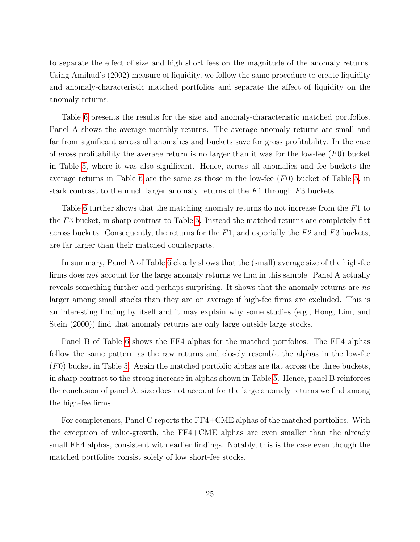to separate the effect of size and high short fees on the magnitude of the anomaly returns. Using Amihud's (2002) measure of liquidity, we follow the same procedure to create liquidity and anomaly-characteristic matched portfolios and separate the affect of liquidity on the anomaly returns.

Table [6](#page-52-0) presents the results for the size and anomaly-characteristic matched portfolios. Panel A shows the average monthly returns. The average anomaly returns are small and far from significant across all anomalies and buckets save for gross profitability. In the case of gross profitability the average return is no larger than it was for the low-fee  $(F0)$  bucket in Table [5,](#page-51-0) where it was also significant. Hence, across all anomalies and fee buckets the average returns in Table [6](#page-52-0) are the same as those in the low-fee  $(F0)$  bucket of Table [5,](#page-51-0) in stark contrast to the much larger anomaly returns of the F1 through F3 buckets.

Table [6](#page-52-0) further shows that the matching anomaly returns do not increase from the F1 to the F3 bucket, in sharp contrast to Table [5.](#page-51-0) Instead the matched returns are completely flat across buckets. Consequently, the returns for the  $F1$ , and especially the  $F2$  and  $F3$  buckets, are far larger than their matched counterparts.

In summary, Panel A of Table [6](#page-52-0) clearly shows that the (small) average size of the high-fee firms does not account for the large anomaly returns we find in this sample. Panel A actually reveals something further and perhaps surprising. It shows that the anomaly returns are no larger among small stocks than they are on average if high-fee firms are excluded. This is an interesting finding by itself and it may explain why some studies (e.g., Hong, Lim, and Stein (2000)) find that anomaly returns are only large outside large stocks.

Panel B of Table [6](#page-52-0) shows the FF4 alphas for the matched portfolios. The FF4 alphas follow the same pattern as the raw returns and closely resemble the alphas in the low-fee  $(F0)$  bucket in Table [5.](#page-51-0) Again the matched portfolio alphas are flat across the three buckets, in sharp contrast to the strong increase in alphas shown in Table [5.](#page-51-0) Hence, panel B reinforces the conclusion of panel A: size does not account for the large anomaly returns we find among the high-fee firms.

For completeness, Panel C reports the FF4+CME alphas of the matched portfolios. With the exception of value-growth, the FF4+CME alphas are even smaller than the already small FF4 alphas, consistent with earlier findings. Notably, this is the case even though the matched portfolios consist solely of low short-fee stocks.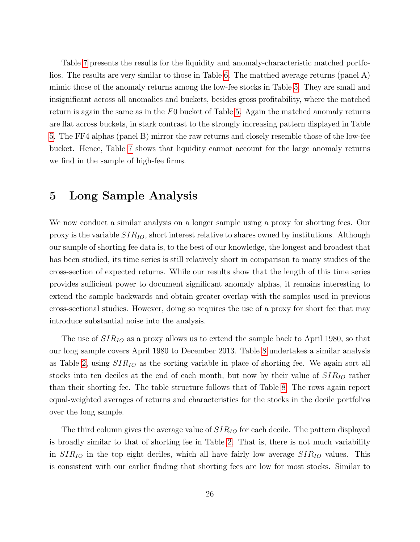Table [7](#page-53-0) presents the results for the liquidity and anomaly-characteristic matched portfolios. The results are very similar to those in Table [6.](#page-52-0) The matched average returns (panel A) mimic those of the anomaly returns among the low-fee stocks in Table [5.](#page-51-0) They are small and insignificant across all anomalies and buckets, besides gross profitability, where the matched return is again the same as in the F0 bucket of Table [5.](#page-51-0) Again the matched anomaly returns are flat across buckets, in stark contrast to the strongly increasing pattern displayed in Table [5.](#page-51-0) The FF4 alphas (panel B) mirror the raw returns and closely resemble those of the low-fee bucket. Hence, Table [7](#page-53-0) shows that liquidity cannot account for the large anomaly returns we find in the sample of high-fee firms.

## 5 Long Sample Analysis

We now conduct a similar analysis on a longer sample using a proxy for shorting fees. Our proxy is the variable  $SIR_{IO}$ , short interest relative to shares owned by institutions. Although our sample of shorting fee data is, to the best of our knowledge, the longest and broadest that has been studied, its time series is still relatively short in comparison to many studies of the cross-section of expected returns. While our results show that the length of this time series provides sufficient power to document significant anomaly alphas, it remains interesting to extend the sample backwards and obtain greater overlap with the samples used in previous cross-sectional studies. However, doing so requires the use of a proxy for short fee that may introduce substantial noise into the analysis.

The use of  $SIR_{IO}$  as a proxy allows us to extend the sample back to April 1980, so that our long sample covers April 1980 to December 2013. Table [8](#page-54-0) undertakes a similar analysis as Table [2,](#page-48-0) using  $SIR_{IO}$  as the sorting variable in place of shorting fee. We again sort all stocks into ten deciles at the end of each month, but now by their value of  $SIR_{IO}$  rather than their shorting fee. The table structure follows that of Table [8.](#page-54-0) The rows again report equal-weighted averages of returns and characteristics for the stocks in the decile portfolios over the long sample.

The third column gives the average value of  $SIR_{IO}$  for each decile. The pattern displayed is broadly similar to that of shorting fee in Table [2.](#page-48-0) That is, there is not much variability in  $SIR_{IO}$  in the top eight deciles, which all have fairly low average  $SIR_{IO}$  values. This is consistent with our earlier finding that shorting fees are low for most stocks. Similar to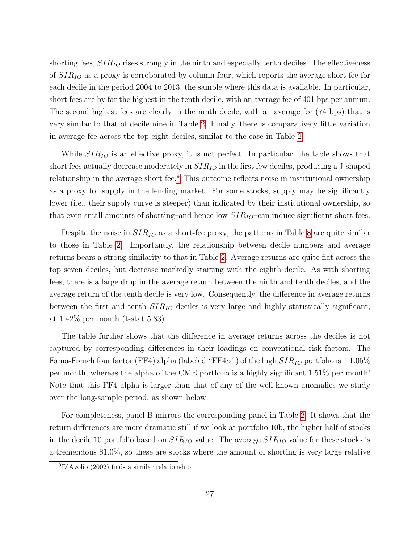shorting fees,  $SIR_{IO}$  rises strongly in the ninth and especially tenth deciles. The effectiveness of  $SIR_{IO}$  as a proxy is corroborated by column four, which reports the average short fee for each decile in the period 2004 to 2013, the sample where this data is available. In particular, short fees are by far the highest in the tenth decile, with an average fee of 401 bps per annum. The second highest fees are clearly in the ninth decile, with an average fee (74 bps) that is very similar to that of decile nine in Table [2.](#page-48-0) Finally, there is comparatively little variation in average fee across the top eight deciles, similar to the case in Table [2.](#page-48-0)

While  $SIR_{IO}$  is an effective proxy, it is not perfect. In particular, the table shows that short fees actually decrease moderately in  $SIR_{IO}$  in the first few deciles, producing a J-shaped relationship in the average short fee.<sup>[9](#page-0-0)</sup> This outcome reflects noise in institutional ownership as a proxy for supply in the lending market. For some stocks, supply may be significantly lower (i.e., their supply curve is steeper) than indicated by their institutional ownership, so that even small amounts of shorting–and hence low  $SIR_{IO}$ –can induce significant short fees.

Despite the noise in  $SIR_{IO}$  as a short-fee proxy, the patterns in Table [8](#page-54-0) are quite similar to those in Table [2.](#page-48-0) Importantly, the relationship between decile numbers and average returns bears a strong similarity to that in Table [2.](#page-48-0) Average returns are quite flat across the top seven deciles, but decrease markedly starting with the eighth decile. As with shorting fees, there is a large drop in the average return between the ninth and tenth deciles, and the average return of the tenth decile is very low. Consequently, the difference in average returns between the first and tenth  $SIR_{IO}$  deciles is very large and highly statistically significant, at 1.42% per month (t-stat 5.83).

The table further shows that the difference in average returns across the deciles is not captured by corresponding differences in their loadings on conventional risk factors. The Fama-French four factor (FF4) alpha (labeled "FF4 $\alpha$ ") of the high  $SIR_{IO}$  portfolio is  $-1.05\%$ per month, whereas the alpha of the CME portfolio is a highly significant 1.51% per month! Note that this FF4 alpha is larger than that of any of the well-known anomalies we study over the long-sample period, as shown below.

For completeness, panel B mirrors the corresponding panel in Table [2.](#page-48-0) It shows that the return differences are more dramatic still if we look at portfolio 10b, the higher half of stocks in the decile 10 portfolio based on  $SIR_{IO}$  value. The average  $SIR_{IO}$  value for these stocks is a tremendous 81.0%, so these are stocks where the amount of shorting is very large relative

 $^{9}D'$ Avolio (2002) finds a similar relationship.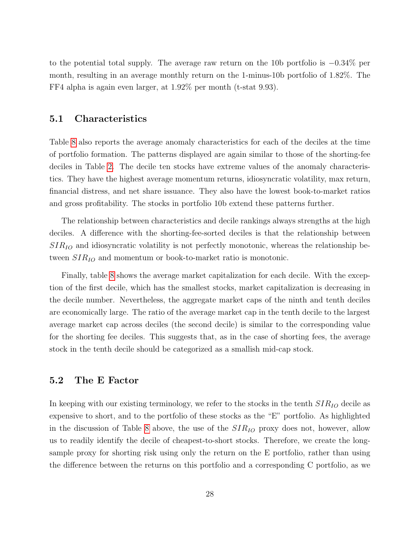to the potential total supply. The average raw return on the 10b portfolio is −0.34% per month, resulting in an average monthly return on the 1-minus-10b portfolio of 1.82%. The FF4 alpha is again even larger, at 1.92% per month (t-stat 9.93).

#### 5.1 Characteristics

Table [8](#page-54-0) also reports the average anomaly characteristics for each of the deciles at the time of portfolio formation. The patterns displayed are again similar to those of the shorting-fee deciles in Table [2.](#page-48-0) The decile ten stocks have extreme values of the anomaly characteristics. They have the highest average momentum returns, idiosyncratic volatility, max return, financial distress, and net share issuance. They also have the lowest book-to-market ratios and gross profitability. The stocks in portfolio 10b extend these patterns further.

The relationship between characteristics and decile rankings always strengths at the high deciles. A difference with the shorting-fee-sorted deciles is that the relationship between  $SIR_{IO}$  and idiosyncratic volatility is not perfectly monotonic, whereas the relationship between  $SIR_{IO}$  and momentum or book-to-market ratio is monotonic.

Finally, table [8](#page-54-0) shows the average market capitalization for each decile. With the exception of the first decile, which has the smallest stocks, market capitalization is decreasing in the decile number. Nevertheless, the aggregate market caps of the ninth and tenth deciles are economically large. The ratio of the average market cap in the tenth decile to the largest average market cap across deciles (the second decile) is similar to the corresponding value for the shorting fee deciles. This suggests that, as in the case of shorting fees, the average stock in the tenth decile should be categorized as a smallish mid-cap stock.

#### 5.2 The E Factor

In keeping with our existing terminology, we refer to the stocks in the tenth  $SIR_{IO}$  decile as expensive to short, and to the portfolio of these stocks as the "E" portfolio. As highlighted in the discussion of Table [8](#page-54-0) above, the use of the  $SIR_{IO}$  proxy does not, however, allow us to readily identify the decile of cheapest-to-short stocks. Therefore, we create the longsample proxy for shorting risk using only the return on the E portfolio, rather than using the difference between the returns on this portfolio and a corresponding C portfolio, as we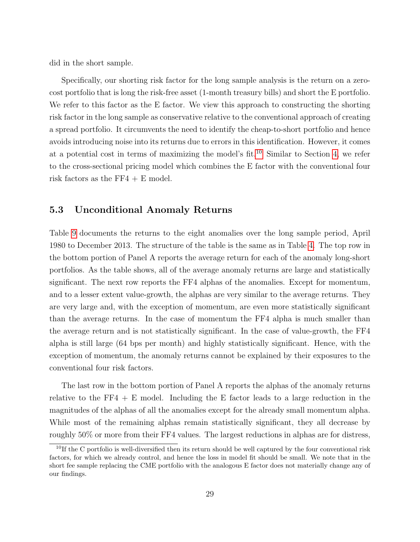did in the short sample.

Specifically, our shorting risk factor for the long sample analysis is the return on a zerocost portfolio that is long the risk-free asset (1-month treasury bills) and short the E portfolio. We refer to this factor as the E factor. We view this approach to constructing the shorting risk factor in the long sample as conservative relative to the conventional approach of creating a spread portfolio. It circumvents the need to identify the cheap-to-short portfolio and hence avoids introducing noise into its returns due to errors in this identification. However, it comes at a potential cost in terms of maximizing the model's fit.<sup>[10](#page-0-0)</sup> Similar to Section [4,](#page-15-0) we refer to the cross-sectional pricing model which combines the E factor with the conventional four risk factors as the  $FF4 + E$  model.

#### 5.3 Unconditional Anomaly Returns

Table [9](#page-55-0) documents the returns to the eight anomalies over the long sample period, April 1980 to December 2013. The structure of the table is the same as in Table [4.](#page-50-0) The top row in the bottom portion of Panel A reports the average return for each of the anomaly long-short portfolios. As the table shows, all of the average anomaly returns are large and statistically significant. The next row reports the FF4 alphas of the anomalies. Except for momentum, and to a lesser extent value-growth, the alphas are very similar to the average returns. They are very large and, with the exception of momentum, are even more statistically significant than the average returns. In the case of momentum the FF4 alpha is much smaller than the average return and is not statistically significant. In the case of value-growth, the FF4 alpha is still large (64 bps per month) and highly statistically significant. Hence, with the exception of momentum, the anomaly returns cannot be explained by their exposures to the conventional four risk factors.

The last row in the bottom portion of Panel A reports the alphas of the anomaly returns relative to the  $FF4 + E$  model. Including the E factor leads to a large reduction in the magnitudes of the alphas of all the anomalies except for the already small momentum alpha. While most of the remaining alphas remain statistically significant, they all decrease by roughly 50% or more from their FF4 values. The largest reductions in alphas are for distress,

<sup>&</sup>lt;sup>10</sup>If the C portfolio is well-diversified then its return should be well captured by the four conventional risk factors, for which we already control, and hence the loss in model fit should be small. We note that in the short fee sample replacing the CME portfolio with the analogous E factor does not materially change any of our findings.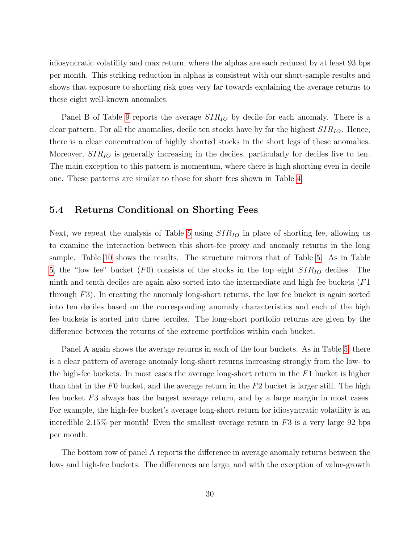idiosyncratic volatility and max return, where the alphas are each reduced by at least 93 bps per month. This striking reduction in alphas is consistent with our short-sample results and shows that exposure to shorting risk goes very far towards explaining the average returns to these eight well-known anomalies.

Panel B of Table [9](#page-55-0) reports the average  $SIR_{IO}$  by decile for each anomaly. There is a clear pattern. For all the anomalies, decile ten stocks have by far the highest  $SIR_{IO}$ . Hence, there is a clear concentration of highly shorted stocks in the short legs of these anomalies. Moreover,  $SIR_{IO}$  is generally increasing in the deciles, particularly for deciles five to ten. The main exception to this pattern is momentum, where there is high shorting even in decile one. These patterns are similar to those for short fees shown in Table [4.](#page-50-0)

#### 5.4 Returns Conditional on Shorting Fees

Next, we repeat the analysis of Table [5](#page-51-0) using  $SIR_{IO}$  in place of shorting fee, allowing us to examine the interaction between this short-fee proxy and anomaly returns in the long sample. Table [10](#page-56-0) shows the results. The structure mirrors that of Table [5.](#page-51-0) As in Table [5,](#page-51-0) the "low fee" bucket  $(F0)$  consists of the stocks in the top eight  $SIR_{IO}$  deciles. The ninth and tenth deciles are again also sorted into the intermediate and high fee buckets (F1 through  $F3$ ). In creating the anomaly long-short returns, the low fee bucket is again sorted into ten deciles based on the corresponding anomaly characteristics and each of the high fee buckets is sorted into three terciles. The long-short portfolio returns are given by the difference between the returns of the extreme portfolios within each bucket.

Panel A again shows the average returns in each of the four buckets. As in Table [5,](#page-51-0) there is a clear pattern of average anomaly long-short returns increasing strongly from the low- to the high-fee buckets. In most cases the average long-short return in the F1 bucket is higher than that in the  $F_0$  bucket, and the average return in the  $F_2$  bucket is larger still. The high fee bucket F3 always has the largest average return, and by a large margin in most cases. For example, the high-fee bucket's average long-short return for idiosyncratic volatility is an incredible 2.15% per month! Even the smallest average return in  $F3$  is a very large 92 bps per month.

The bottom row of panel A reports the difference in average anomaly returns between the low- and high-fee buckets. The differences are large, and with the exception of value-growth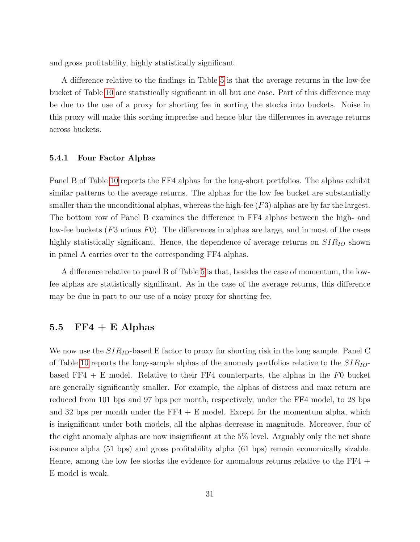and gross profitability, highly statistically significant.

A difference relative to the findings in Table [5](#page-51-0) is that the average returns in the low-fee bucket of Table [10](#page-56-0) are statistically significant in all but one case. Part of this difference may be due to the use of a proxy for shorting fee in sorting the stocks into buckets. Noise in this proxy will make this sorting imprecise and hence blur the differences in average returns across buckets.

#### 5.4.1 Four Factor Alphas

Panel B of Table [10](#page-56-0) reports the FF4 alphas for the long-short portfolios. The alphas exhibit similar patterns to the average returns. The alphas for the low fee bucket are substantially smaller than the unconditional alphas, whereas the high-fee  $(F3)$  alphas are by far the largest. The bottom row of Panel B examines the difference in FF4 alphas between the high- and low-fee buckets  $(F3 \text{ minus } F0)$ . The differences in alphas are large, and in most of the cases highly statistically significant. Hence, the dependence of average returns on  $SIR_{IO}$  shown in panel A carries over to the corresponding FF4 alphas.

A difference relative to panel B of Table [5](#page-51-0) is that, besides the case of momentum, the lowfee alphas are statistically significant. As in the case of the average returns, this difference may be due in part to our use of a noisy proxy for shorting fee.

#### 5.5  $FF4 + E$  Alphas

We now use the  $SIR_{IO}$ -based E factor to proxy for shorting risk in the long sample. Panel C of Table [10](#page-56-0) reports the long-sample alphas of the anomaly portfolios relative to the  $SIR_{IO}$ based FF4  $+ E$  model. Relative to their FF4 counterparts, the alphas in the F0 bucket are generally significantly smaller. For example, the alphas of distress and max return are reduced from 101 bps and 97 bps per month, respectively, under the FF4 model, to 28 bps and 32 bps per month under the  $FF4 + E$  model. Except for the momentum alpha, which is insignificant under both models, all the alphas decrease in magnitude. Moreover, four of the eight anomaly alphas are now insignificant at the 5% level. Arguably only the net share issuance alpha (51 bps) and gross profitability alpha (61 bps) remain economically sizable. Hence, among the low fee stocks the evidence for anomalous returns relative to the FF4 + E model is weak.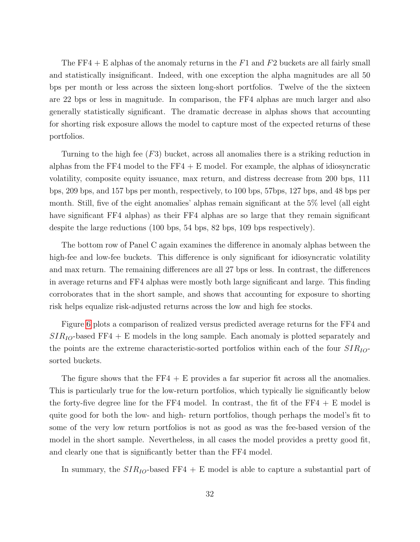The FF4 + E alphas of the anomaly returns in the  $F1$  and  $F2$  buckets are all fairly small and statistically insignificant. Indeed, with one exception the alpha magnitudes are all 50 bps per month or less across the sixteen long-short portfolios. Twelve of the the sixteen are 22 bps or less in magnitude. In comparison, the FF4 alphas are much larger and also generally statistically significant. The dramatic decrease in alphas shows that accounting for shorting risk exposure allows the model to capture most of the expected returns of these portfolios.

Turning to the high fee (F3) bucket, across all anomalies there is a striking reduction in alphas from the FF4 model to the FF4  $+ E$  model. For example, the alphas of idiosyncratic volatility, composite equity issuance, max return, and distress decrease from 200 bps, 111 bps, 209 bps, and 157 bps per month, respectively, to 100 bps, 57bps, 127 bps, and 48 bps per month. Still, five of the eight anomalies' alphas remain significant at the 5% level (all eight have significant FF4 alphas) as their FF4 alphas are so large that they remain significant despite the large reductions (100 bps, 54 bps, 82 bps, 109 bps respectively).

The bottom row of Panel C again examines the difference in anomaly alphas between the high-fee and low-fee buckets. This difference is only significant for idiosyncratic volatility and max return. The remaining differences are all 27 bps or less. In contrast, the differences in average returns and FF4 alphas were mostly both large significant and large. This finding corroborates that in the short sample, and shows that accounting for exposure to shorting risk helps equalize risk-adjusted returns across the low and high fee stocks.

Figure [6](#page-45-0) plots a comparison of realized versus predicted average returns for the FF4 and  $SIR_{IO}$ -based FF4 + E models in the long sample. Each anomaly is plotted separately and the points are the extreme characteristic-sorted portfolios within each of the four  $SIR_{IO}$ sorted buckets.

The figure shows that the  $FF4 + E$  provides a far superior fit across all the anomalies. This is particularly true for the low-return portfolios, which typically lie significantly below the forty-five degree line for the FF4 model. In contrast, the fit of the FF4 + E model is quite good for both the low- and high- return portfolios, though perhaps the model's fit to some of the very low return portfolios is not as good as was the fee-based version of the model in the short sample. Nevertheless, in all cases the model provides a pretty good fit, and clearly one that is significantly better than the FF4 model.

In summary, the  $SIR_{IO}$ -based FF4 + E model is able to capture a substantial part of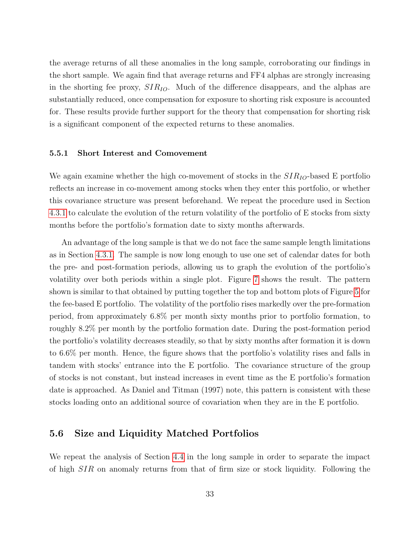the average returns of all these anomalies in the long sample, corroborating our findings in the short sample. We again find that average returns and FF4 alphas are strongly increasing in the shorting fee proxy,  $SIR_{IO}$ . Much of the difference disappears, and the alphas are substantially reduced, once compensation for exposure to shorting risk exposure is accounted for. These results provide further support for the theory that compensation for shorting risk is a significant component of the expected returns to these anomalies.

#### 5.5.1 Short Interest and Comovement

We again examine whether the high co-movement of stocks in the  $SIR_{IO}$ -based E portfolio reflects an increase in co-movement among stocks when they enter this portfolio, or whether this covariance structure was present beforehand. We repeat the procedure used in Section [4.3.1](#page-22-0) to calculate the evolution of the return volatility of the portfolio of E stocks from sixty months before the portfolio's formation date to sixty months afterwards.

An advantage of the long sample is that we do not face the same sample length limitations as in Section [4.3.1.](#page-22-0) The sample is now long enough to use one set of calendar dates for both the pre- and post-formation periods, allowing us to graph the evolution of the portfolio's volatility over both periods within a single plot. Figure [7](#page-46-0) shows the result. The pattern shown is similar to that obtained by putting together the top and bottom plots of Figure [5](#page-44-0) for the fee-based E portfolio. The volatility of the portfolio rises markedly over the pre-formation period, from approximately 6.8% per month sixty months prior to portfolio formation, to roughly 8.2% per month by the portfolio formation date. During the post-formation period the portfolio's volatility decreases steadily, so that by sixty months after formation it is down to 6.6% per month. Hence, the figure shows that the portfolio's volatility rises and falls in tandem with stocks' entrance into the E portfolio. The covariance structure of the group of stocks is not constant, but instead increases in event time as the E portfolio's formation date is approached. As Daniel and Titman (1997) note, this pattern is consistent with these stocks loading onto an additional source of covariation when they are in the E portfolio.

#### 5.6 Size and Liquidity Matched Portfolios

We repeat the analysis of Section [4.4](#page-23-0) in the long sample in order to separate the impact of high SIR on anomaly returns from that of firm size or stock liquidity. Following the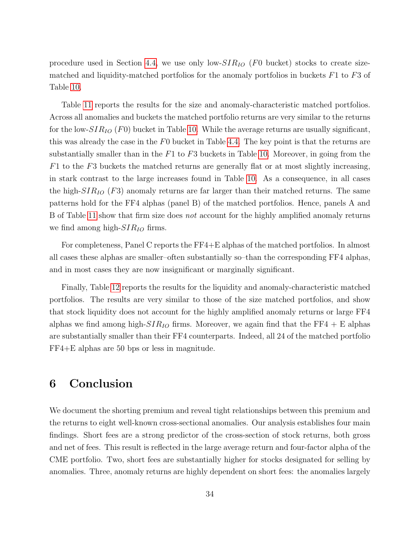procedure used in Section [4.4,](#page-23-0) we use only low- $SIR_{IO}$  (F0 bucket) stocks to create sizematched and liquidity-matched portfolios for the anomaly portfolios in buckets  $F1$  to  $F3$  of Table [10.](#page-56-0)

Table [11](#page-57-0) reports the results for the size and anomaly-characteristic matched portfolios. Across all anomalies and buckets the matched portfolio returns are very similar to the returns for the low- $SIR_{IO}$  (F0) bucket in Table [10.](#page-56-0) While the average returns are usually significant, this was already the case in the F0 bucket in Table [4.4.](#page-23-0) The key point is that the returns are substantially smaller than in the  $F1$  to  $F3$  buckets in Table [10.](#page-56-0) Moreover, in going from the  $F1$  to the F3 buckets the matched returns are generally flat or at most slightly increasing, in stark contrast to the large increases found in Table [10.](#page-56-0) As a consequence, in all cases the high- $SIR_{IO}$  (F3) anomaly returns are far larger than their matched returns. The same patterns hold for the FF4 alphas (panel B) of the matched portfolios. Hence, panels A and B of Table [11](#page-57-0) show that firm size does not account for the highly amplified anomaly returns we find among high- $SIR_{IO}$  firms.

For completeness, Panel C reports the FF4+E alphas of the matched portfolios. In almost all cases these alphas are smaller–often substantially so–than the corresponding FF4 alphas, and in most cases they are now insignificant or marginally significant.

Finally, Table [12](#page-58-0) reports the results for the liquidity and anomaly-characteristic matched portfolios. The results are very similar to those of the size matched portfolios, and show that stock liquidity does not account for the highly amplified anomaly returns or large FF4 alphas we find among high- $SIR_{IO}$  firms. Moreover, we again find that the FF4 + E alphas are substantially smaller than their FF4 counterparts. Indeed, all 24 of the matched portfolio FF4+E alphas are 50 bps or less in magnitude.

# 6 Conclusion

We document the shorting premium and reveal tight relationships between this premium and the returns to eight well-known cross-sectional anomalies. Our analysis establishes four main findings. Short fees are a strong predictor of the cross-section of stock returns, both gross and net of fees. This result is reflected in the large average return and four-factor alpha of the CME portfolio. Two, short fees are substantially higher for stocks designated for selling by anomalies. Three, anomaly returns are highly dependent on short fees: the anomalies largely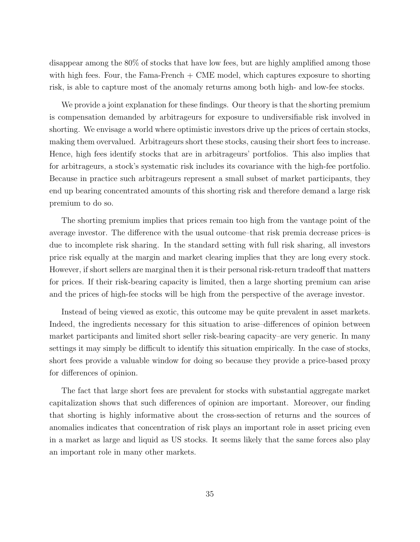disappear among the 80% of stocks that have low fees, but are highly amplified among those with high fees. Four, the Fama-French  $+$  CME model, which captures exposure to shorting risk, is able to capture most of the anomaly returns among both high- and low-fee stocks.

We provide a joint explanation for these findings. Our theory is that the shorting premium is compensation demanded by arbitrageurs for exposure to undiversifiable risk involved in shorting. We envisage a world where optimistic investors drive up the prices of certain stocks, making them overvalued. Arbitrageurs short these stocks, causing their short fees to increase. Hence, high fees identify stocks that are in arbitrageurs' portfolios. This also implies that for arbitrageurs, a stock's systematic risk includes its covariance with the high-fee portfolio. Because in practice such arbitrageurs represent a small subset of market participants, they end up bearing concentrated amounts of this shorting risk and therefore demand a large risk premium to do so.

The shorting premium implies that prices remain too high from the vantage point of the average investor. The difference with the usual outcome–that risk premia decrease prices–is due to incomplete risk sharing. In the standard setting with full risk sharing, all investors price risk equally at the margin and market clearing implies that they are long every stock. However, if short sellers are marginal then it is their personal risk-return tradeoff that matters for prices. If their risk-bearing capacity is limited, then a large shorting premium can arise and the prices of high-fee stocks will be high from the perspective of the average investor.

Instead of being viewed as exotic, this outcome may be quite prevalent in asset markets. Indeed, the ingredients necessary for this situation to arise–differences of opinion between market participants and limited short seller risk-bearing capacity–are very generic. In many settings it may simply be difficult to identify this situation empirically. In the case of stocks, short fees provide a valuable window for doing so because they provide a price-based proxy for differences of opinion.

The fact that large short fees are prevalent for stocks with substantial aggregate market capitalization shows that such differences of opinion are important. Moreover, our finding that shorting is highly informative about the cross-section of returns and the sources of anomalies indicates that concentration of risk plays an important role in asset pricing even in a market as large and liquid as US stocks. It seems likely that the same forces also play an important role in many other markets.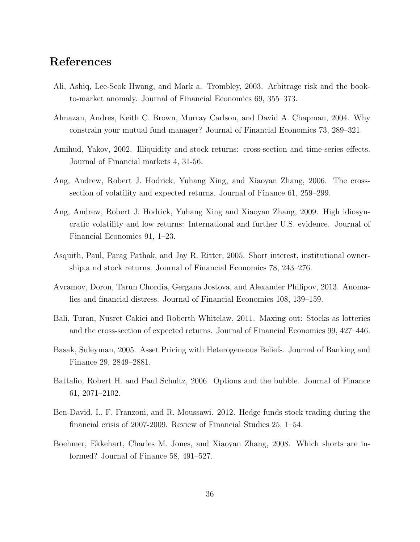# References

- Ali, Ashiq, Lee-Seok Hwang, and Mark a. Trombley, 2003. Arbitrage risk and the bookto-market anomaly. Journal of Financial Economics 69, 355–373.
- Almazan, Andres, Keith C. Brown, Murray Carlson, and David A. Chapman, 2004. Why constrain your mutual fund manager? Journal of Financial Economics 73, 289–321.
- Amihud, Yakov, 2002. Illiquidity and stock returns: cross-section and time-series effects. Journal of Financial markets 4, 31-56.
- Ang, Andrew, Robert J. Hodrick, Yuhang Xing, and Xiaoyan Zhang, 2006. The crosssection of volatility and expected returns. Journal of Finance 61, 259–299.
- Ang, Andrew, Robert J. Hodrick, Yuhang Xing and Xiaoyan Zhang, 2009. High idiosyncratic volatility and low returns: International and further U.S. evidence. Journal of Financial Economics 91, 1–23.
- Asquith, Paul, Parag Pathak, and Jay R. Ritter, 2005. Short interest, institutional ownership,a nd stock returns. Journal of Financial Economics 78, 243–276.
- Avramov, Doron, Tarun Chordia, Gergana Jostova, and Alexander Philipov, 2013. Anomalies and financial distress. Journal of Financial Economics 108, 139–159.
- Bali, Turan, Nusret Cakici and Roberth Whitelaw, 2011. Maxing out: Stocks as lotteries and the cross-section of expected returns. Journal of Financial Economics 99, 427–446.
- Basak, Suleyman, 2005. Asset Pricing with Heterogeneous Beliefs. Journal of Banking and Finance 29, 2849–2881.
- Battalio, Robert H. and Paul Schultz, 2006. Options and the bubble. Journal of Finance 61, 2071–2102.
- Ben-David, I., F. Franzoni, and R. Moussawi. 2012. Hedge funds stock trading during the financial crisis of 2007-2009. Review of Financial Studies 25, 1–54.
- Boehmer, Ekkehart, Charles M. Jones, and Xiaoyan Zhang, 2008. Which shorts are informed? Journal of Finance 58, 491–527.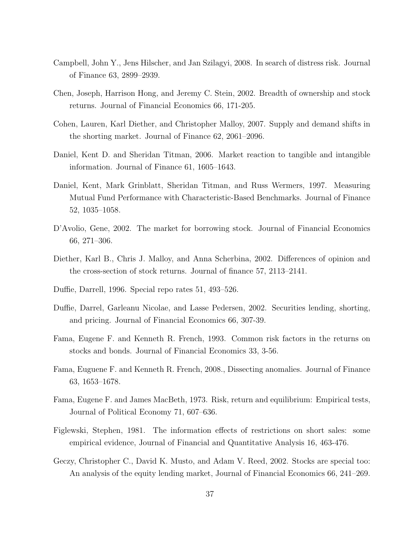- Campbell, John Y., Jens Hilscher, and Jan Szilagyi, 2008. In search of distress risk. Journal of Finance 63, 2899–2939.
- Chen, Joseph, Harrison Hong, and Jeremy C. Stein, 2002. Breadth of ownership and stock returns. Journal of Financial Economics 66, 171-205.
- Cohen, Lauren, Karl Diether, and Christopher Malloy, 2007. Supply and demand shifts in the shorting market. Journal of Finance 62, 2061–2096.
- Daniel, Kent D. and Sheridan Titman, 2006. Market reaction to tangible and intangible information. Journal of Finance 61, 1605–1643.
- Daniel, Kent, Mark Grinblatt, Sheridan Titman, and Russ Wermers, 1997. Measuring Mutual Fund Performance with Characteristic-Based Benchmarks. Journal of Finance 52, 1035–1058.
- D'Avolio, Gene, 2002. The market for borrowing stock. Journal of Financial Economics 66, 271–306.
- Diether, Karl B., Chris J. Malloy, and Anna Scherbina, 2002. Differences of opinion and the cross-section of stock returns. Journal of finance 57, 2113–2141.
- Duffie, Darrell, 1996. Special repo rates 51, 493–526.
- Duffie, Darrel, Garleanu Nicolae, and Lasse Pedersen, 2002. Securities lending, shorting, and pricing. Journal of Financial Economics 66, 307-39.
- Fama, Eugene F. and Kenneth R. French, 1993. Common risk factors in the returns on stocks and bonds. Journal of Financial Economics 33, 3-56.
- Fama, Euguene F. and Kenneth R. French, 2008., Dissecting anomalies. Journal of Finance 63, 1653–1678.
- Fama, Eugene F. and James MacBeth, 1973. Risk, return and equilibrium: Empirical tests, Journal of Political Economy 71, 607–636.
- Figlewski, Stephen, 1981. The information effects of restrictions on short sales: some empirical evidence, Journal of Financial and Quantitative Analysis 16, 463-476.
- Geczy, Christopher C., David K. Musto, and Adam V. Reed, 2002. Stocks are special too: An analysis of the equity lending market, Journal of Financial Economics 66, 241–269.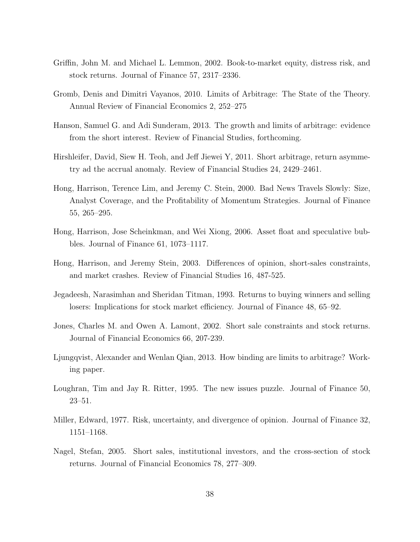- Griffin, John M. and Michael L. Lemmon, 2002. Book-to-market equity, distress risk, and stock returns. Journal of Finance 57, 2317–2336.
- Gromb, Denis and Dimitri Vayanos, 2010. Limits of Arbitrage: The State of the Theory. Annual Review of Financial Economics 2, 252–275
- Hanson, Samuel G. and Adi Sunderam, 2013. The growth and limits of arbitrage: evidence from the short interest. Review of Financial Studies, forthcoming.
- Hirshleifer, David, Siew H. Teoh, and Jeff Jiewei Y, 2011. Short arbitrage, return asymmetry ad the accrual anomaly. Review of Financial Studies 24, 2429–2461.
- Hong, Harrison, Terence Lim, and Jeremy C. Stein, 2000. Bad News Travels Slowly: Size, Analyst Coverage, and the Profitability of Momentum Strategies. Journal of Finance 55, 265–295.
- Hong, Harrison, Jose Scheinkman, and Wei Xiong, 2006. Asset float and speculative bubbles. Journal of Finance 61, 1073–1117.
- Hong, Harrison, and Jeremy Stein, 2003. Differences of opinion, short-sales constraints, and market crashes. Review of Financial Studies 16, 487-525.
- Jegadeesh, Narasimhan and Sheridan Titman, 1993. Returns to buying winners and selling losers: Implications for stock market efficiency. Journal of Finance 48, 65–92.
- Jones, Charles M. and Owen A. Lamont, 2002. Short sale constraints and stock returns. Journal of Financial Economics 66, 207-239.
- Ljungqvist, Alexander and Wenlan Qian, 2013. How binding are limits to arbitrage? Working paper.
- Loughran, Tim and Jay R. Ritter, 1995. The new issues puzzle. Journal of Finance 50, 23–51.
- Miller, Edward, 1977. Risk, uncertainty, and divergence of opinion. Journal of Finance 32, 1151–1168.
- Nagel, Stefan, 2005. Short sales, institutional investors, and the cross-section of stock returns. Journal of Financial Economics 78, 277–309.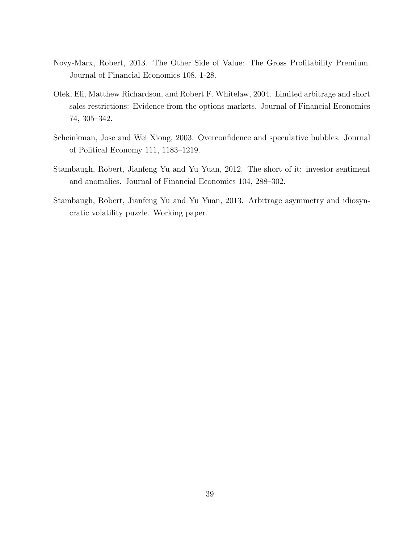- Novy-Marx, Robert, 2013. The Other Side of Value: The Gross Profitability Premium. Journal of Financial Economics 108, 1-28.
- Ofek, Eli, Matthew Richardson, and Robert F. Whitelaw, 2004. Limited arbitrage and short sales restrictions: Evidence from the options markets. Journal of Financial Economics 74, 305–342.
- Scheinkman, Jose and Wei Xiong, 2003. Overconfidence and speculative bubbles. Journal of Political Economy 111, 1183–1219.
- Stambaugh, Robert, Jianfeng Yu and Yu Yuan, 2012. The short of it: investor sentiment and anomalies. Journal of Financial Economics 104, 288–302.
- Stambaugh, Robert, Jianfeng Yu and Yu Yuan, 2013. Arbitrage asymmetry and idiosyncratic volatility puzzle. Working paper.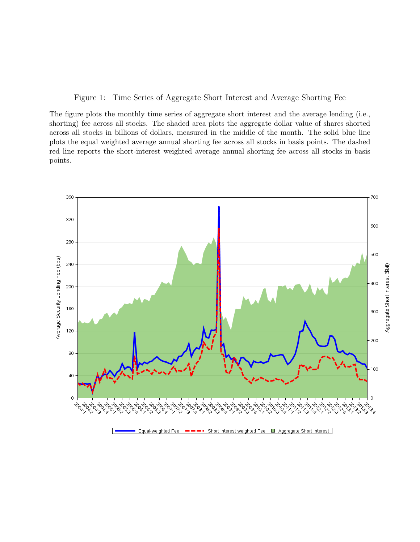<span id="page-40-0"></span>Figure 1: Time Series of Aggregate Short Interest and Average Shorting Fee

The figure plots the monthly time series of aggregate short interest and the average lending (i.e., shorting) fee across all stocks. The shaded area plots the aggregate dollar value of shares shorted across all stocks in billions of dollars, measured in the middle of the month. The solid blue line plots the equal weighted average annual shorting fee across all stocks in basis points. The dashed red line reports the short-interest weighted average annual shorting fee across all stocks in basis points.

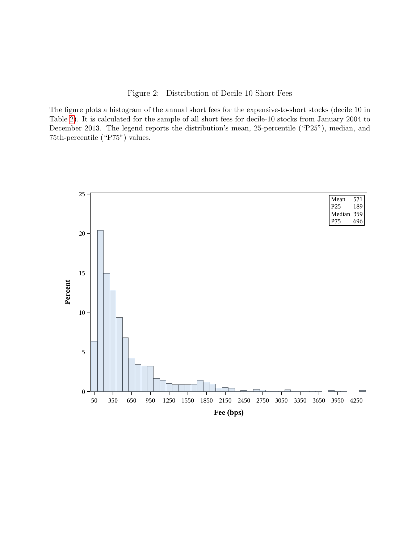<span id="page-41-0"></span>Figure 2: Distribution of Decile 10 Short Fees

The figure plots a histogram of the annual short fees for the expensive-to-short stocks (decile 10 in Table [2\)](#page-48-0). It is calculated for the sample of all short fees for decile-10 stocks from January 2004 to December 2013. The legend reports the distribution's mean, 25-percentile ("P25"), median, and 75th-percentile ("P75") values.

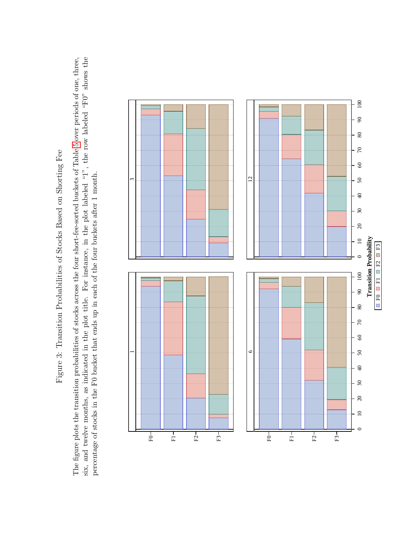Figure 3: Transition Probabilities of Stocks Based on Shorting Fee Figure 3: Transition Probabilities of Stocks Based on Shorting Fee <span id="page-42-0"></span>The figure plots the transition probabilities of stocks across the four short-fee-sorted buckets of Table 5 over periods of one, three, six, and twelve months, as indicated in the plot title. For instance, in the plot labeled "1", the row labeled "F0" shows the The figure plots the transition probabilities of stocks across the four short-fee-sorted buckets of Table [5](#page-51-0) over periods of one, three, six, and twelve months, as indicated in the plot title. For instance, in the plot labeled "1", the row labeled "F0" shows the percentage of stocks in the F0 bucket that ends up in each of the four buckets after 1 month. percentage of stocks in the F0 bucket that ends up in each of the four buckets after 1 month.

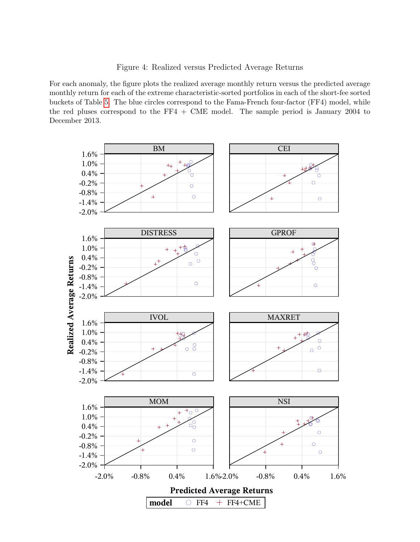<span id="page-43-0"></span>Figure 4: Realized versus Predicted Average Returns

For each anomaly, the figure plots the realized average monthly return versus the predicted average monthly return for each of the extreme characteristic-sorted portfolios in each of the short-fee sorted buckets of Table [5.](#page-51-0) The blue circles correspond to the Fama-French four-factor (FF4) model, while the red pluses correspond to the FF4 + CME model. The sample period is January 2004 to December 2013.

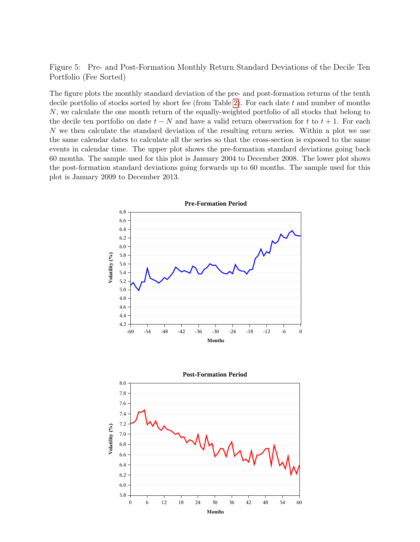<span id="page-44-0"></span>Figure 5: Pre- and Post-Formation Monthly Return Standard Deviations of the Decile Ten Portfolio (Fee Sorted)

The figure plots the monthly standard deviation of the pre- and post-formation returns of the tenth decile portfolio of stocks sorted by short fee (from Table [2\)](#page-48-0). For each date  $t$  and number of months N, we calculate the one month return of the equally-weighted portfolio of all stocks that belong to the decile ten portfolio on date  $t - N$  and have a valid return observation for t to  $t + 1$ . For each N we then calculate the standard deviation of the resulting return series. Within a plot we use the same calendar dates to calculate all the series so that the cross-section is exposed to the same events in calendar time. The upper plot shows the pre-formation standard deviations going back 60 months. The sample used for this plot is January 2004 to December 2008. The lower plot shows the post-formation standard deviations going forwards up to 60 months. The sample used for this plot is January 2009 to December 2013.



0 6 12 18 24 30 36 42 48 54 60 **Months**

5.8 6.0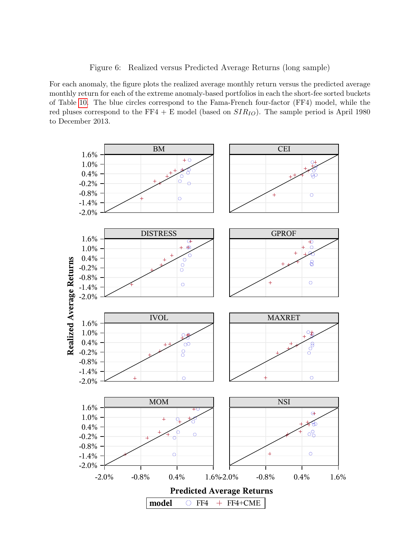<span id="page-45-0"></span>Figure 6: Realized versus Predicted Average Returns (long sample)

For each anomaly, the figure plots the realized average monthly return versus the predicted average monthly return for each of the extreme anomaly-based portfolios in each the short-fee sorted buckets of Table [10.](#page-56-0) The blue circles correspond to the Fama-French four-factor (FF4) model, while the red pluses correspond to the FF4 + E model (based on  $SIR_{IO}$ ). The sample period is April 1980 to December 2013.

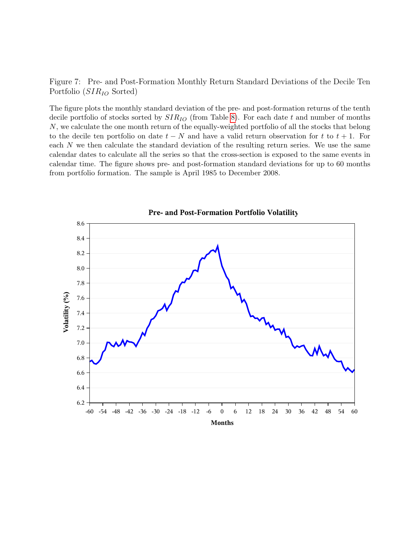<span id="page-46-0"></span>Figure 7: Pre- and Post-Formation Monthly Return Standard Deviations of the Decile Ten Portfolio  $(SIR_{IO}$  Sorted)

The figure plots the monthly standard deviation of the pre- and post-formation returns of the tenth decile portfolio of stocks sorted by  $SIR_{IO}$  (from Table [8\)](#page-54-0). For each date t and number of months N, we calculate the one month return of the equally-weighted portfolio of all the stocks that belong to the decile ten portfolio on date  $t - N$  and have a valid return observation for t to  $t + 1$ . For each N we then calculate the standard deviation of the resulting return series. We use the same calendar dates to calculate all the series so that the cross-section is exposed to the same events in calendar time. The figure shows pre- and post-formation standard deviations for up to 60 months from portfolio formation. The sample is April 1985 to December 2008.



**Pre- and Post-Formation Portfolio Volatility**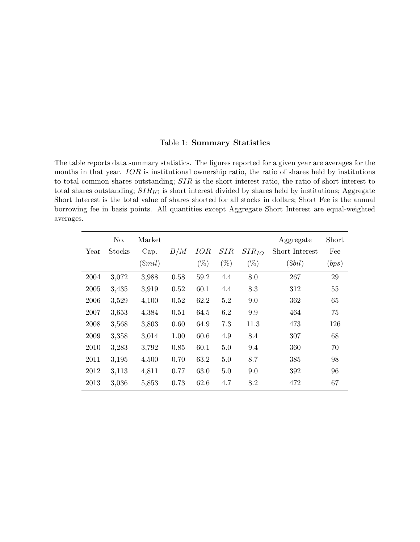#### <span id="page-47-0"></span>Table 1: Summary Statistics

The table reports data summary statistics. The figures reported for a given year are averages for the months in that year. IOR is institutional ownership ratio, the ratio of shares held by institutions to total common shares outstanding; SIR is the short interest ratio, the ratio of short interest to total shares outstanding;  $SIR_{IO}$  is short interest divided by shares held by institutions; Aggregate Short Interest is the total value of shares shorted for all stocks in dollars; Short Fee is the annual borrowing fee in basis points. All quantities except Aggregate Short Interest are equal-weighted averages.

|      | No.    | Market    |      |        |        |            | Aggregate      | Short |
|------|--------|-----------|------|--------|--------|------------|----------------|-------|
| Year | Stocks | Cap.      | B/M  | IOR    | SIR    | $SIR_{IO}$ | Short Interest | Fee   |
|      |        | $(\$mil)$ |      | $(\%)$ | $(\%)$ | $(\%)$     | (\$bil)        | (bps) |
| 2004 | 3,072  | 3,988     | 0.58 | 59.2   | 4.4    | 8.0        | 267            | 29    |
| 2005 | 3,435  | 3,919     | 0.52 | 60.1   | 4.4    | 8.3        | 312            | 55    |
| 2006 | 3,529  | 4,100     | 0.52 | 62.2   | 5.2    | 9.0        | 362            | 65    |
| 2007 | 3,653  | 4,384     | 0.51 | 64.5   | 6.2    | 9.9        | 464            | 75    |
| 2008 | 3,568  | 3,803     | 0.60 | 64.9   | 7.3    | 11.3       | 473            | 126   |
| 2009 | 3,358  | 3,014     | 1.00 | 60.6   | 4.9    | 8.4        | 307            | 68    |
| 2010 | 3,283  | 3,792     | 0.85 | 60.1   | 5.0    | 9.4        | 360            | 70    |
| 2011 | 3,195  | 4,500     | 0.70 | 63.2   | 5.0    | 8.7        | 385            | 98    |
| 2012 | 3,113  | 4,811     | 0.77 | 63.0   | 5.0    | 9.0        | 392            | 96    |
| 2013 | 3,036  | 5,853     | 0.73 | 62.6   | 4.7    | 8.2        | 472            | 67    |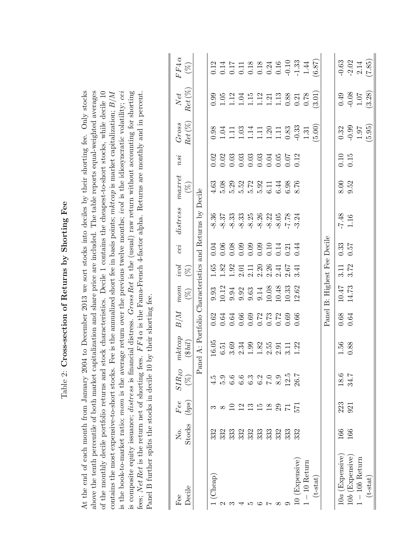<span id="page-48-0"></span>

| Fee               | Σó.           | $\mathit{Fee}$                             | $SIR_{IO}$                                                  | mkcap                                                    | B/M                                         | mom                                                                                            | ivol             | cei                                                 | distrees                                                                                                                                                                                                                                                                                                                                             | maxret | nsi              | Gross                                                                                                                                                                                           | $Net$                                                                                      | $FF4\,\alpha$                                                                                                                                               |
|-------------------|---------------|--------------------------------------------|-------------------------------------------------------------|----------------------------------------------------------|---------------------------------------------|------------------------------------------------------------------------------------------------|------------------|-----------------------------------------------------|------------------------------------------------------------------------------------------------------------------------------------------------------------------------------------------------------------------------------------------------------------------------------------------------------------------------------------------------------|--------|------------------|-------------------------------------------------------------------------------------------------------------------------------------------------------------------------------------------------|--------------------------------------------------------------------------------------------|-------------------------------------------------------------------------------------------------------------------------------------------------------------|
| Decile            | <b>Stocks</b> | $\left( bps\right)$                        | $(\%)$                                                      | (3 bil)                                                  |                                             | $(\%)$                                                                                         | $(\%)$           |                                                     |                                                                                                                                                                                                                                                                                                                                                      | $(\%)$ |                  | $Ret \left( % \right)$                                                                                                                                                                          | $Ret\,(\%)$                                                                                | $\left(\begin{smallmatrix} \infty\\ \infty \end{smallmatrix}\right)$                                                                                        |
|                   |               |                                            |                                                             | Panel A: Portfolio Characteristics and Returns by Decile |                                             |                                                                                                |                  |                                                     |                                                                                                                                                                                                                                                                                                                                                      |        |                  |                                                                                                                                                                                                 |                                                                                            |                                                                                                                                                             |
| (Cheap)           | 332           |                                            | 4.5                                                         | $16.05$                                                  |                                             |                                                                                                |                  |                                                     | 8.36                                                                                                                                                                                                                                                                                                                                                 | 4.63   |                  |                                                                                                                                                                                                 |                                                                                            |                                                                                                                                                             |
|                   | 332           | $\infty$                                   |                                                             |                                                          |                                             | $9.33$<br>$10.34$<br>$10.33$<br>$10.33$<br>$10.33$<br>$10.33$<br>$10.33$<br>$10.32$<br>$11.33$ |                  | 3.08 3.09<br>0.000 3.000 4.000<br>0.000 0.000 4.000 | $\frac{3}{8}$<br>$\frac{3}{8}$<br>$\frac{3}{8}$<br>$\frac{3}{8}$<br>$\frac{3}{8}$<br>$\frac{3}{8}$<br>$\frac{3}{8}$<br>$\frac{3}{8}$<br>$\frac{3}{8}$<br>$\frac{3}{8}$<br>$\frac{3}{8}$<br>$\frac{3}{8}$<br>$\frac{3}{8}$<br>$\frac{3}{8}$<br>$\frac{3}{8}$<br>$\frac{3}{8}$<br>$\frac{3}{8}$<br>$\frac{3}{8}$<br>$\frac{3}{8}$<br>$\frac{3}{8}$<br> |        |                  | $0.38\n1.13\n1.13\n1.13\n1.23\n1.33\n1.43\n1.53\n1.53\n1.53\n1.53\n1.53\n1.53\n1.53\n1.53\n1.53\n1.53\n1.53\n1.53\n1.53\n1.53\n1.53\n1.53\n1.53\n1.53\n1.53\n1.53\n1.53\n1.53\n1.53\n1.53\n1.5$ | $0.98$ $0.99$ $0.14$ $0.14$ $0.14$ $0.05$ $0.05$ $0.05$ $0.05$ $0.05$ $0.05$ $0.05$ $0.05$ |                                                                                                                                                             |
|                   | 333           | $\Xi$                                      | 0. 0. 0. 0. 0. 0.<br>0. 0. 0. 0. 0. 0.<br>0. 0. 0. 0. 0. 0. |                                                          |                                             |                                                                                                |                  |                                                     |                                                                                                                                                                                                                                                                                                                                                      |        |                  |                                                                                                                                                                                                 |                                                                                            |                                                                                                                                                             |
|                   | 332           |                                            |                                                             |                                                          |                                             |                                                                                                |                  |                                                     |                                                                                                                                                                                                                                                                                                                                                      |        |                  |                                                                                                                                                                                                 |                                                                                            |                                                                                                                                                             |
| r                 | 332           | $\begin{array}{c} 2\\ 2\\ 3\\ \end{array}$ |                                                             |                                                          |                                             |                                                                                                |                  |                                                     |                                                                                                                                                                                                                                                                                                                                                      |        |                  |                                                                                                                                                                                                 |                                                                                            |                                                                                                                                                             |
|                   | 333           |                                            |                                                             |                                                          |                                             |                                                                                                |                  |                                                     |                                                                                                                                                                                                                                                                                                                                                      |        |                  |                                                                                                                                                                                                 |                                                                                            |                                                                                                                                                             |
| Ņ                 | 333           |                                            |                                                             |                                                          |                                             |                                                                                                |                  |                                                     |                                                                                                                                                                                                                                                                                                                                                      |        |                  |                                                                                                                                                                                                 |                                                                                            |                                                                                                                                                             |
| $\infty$          | 332           | 29                                         |                                                             |                                                          |                                             |                                                                                                |                  |                                                     |                                                                                                                                                                                                                                                                                                                                                      |        |                  |                                                                                                                                                                                                 |                                                                                            |                                                                                                                                                             |
| $\circ$           | 333           | $\overline{7}1$                            | 12.5                                                        |                                                          |                                             |                                                                                                |                  |                                                     |                                                                                                                                                                                                                                                                                                                                                      |        |                  |                                                                                                                                                                                                 |                                                                                            |                                                                                                                                                             |
| 10 (Expensive)    | 332           | 571                                        | 26.7                                                        |                                                          |                                             |                                                                                                |                  |                                                     |                                                                                                                                                                                                                                                                                                                                                      |        |                  |                                                                                                                                                                                                 |                                                                                            |                                                                                                                                                             |
| $1-10$ Return     |               |                                            |                                                             |                                                          |                                             |                                                                                                |                  |                                                     |                                                                                                                                                                                                                                                                                                                                                      |        |                  | $1.31\,$                                                                                                                                                                                        |                                                                                            |                                                                                                                                                             |
| $(t-stat)$        |               |                                            |                                                             |                                                          |                                             |                                                                                                |                  |                                                     |                                                                                                                                                                                                                                                                                                                                                      |        |                  | (00, 5)                                                                                                                                                                                         |                                                                                            | $\begin{array}{l} 1.11 \\ 0.11 \\ 0.11 \\ 0.11 \\ 0.12 \\ 0.13 \\ 0.14 \\ 0.15 \\ 0.16 \\ 0.17 \\ 0.19 \\ 0.10 \\ 0.13 \\ 0.14 \\ 0.87 \\ 0.87 \end{array}$ |
|                   |               |                                            |                                                             |                                                          |                                             | Panel B: Highest Fee Decile                                                                    |                  |                                                     |                                                                                                                                                                                                                                                                                                                                                      |        |                  |                                                                                                                                                                                                 |                                                                                            |                                                                                                                                                             |
| $10a$ (Expensive) | 166           | 223                                        | 18.6                                                        | 1.56                                                     | $\begin{array}{c} 0.68 \\ 0.64 \end{array}$ | $10.47$<br>$14.73$                                                                             | $3.11$<br>$3.72$ | $0.33$<br>$0.57$                                    |                                                                                                                                                                                                                                                                                                                                                      | 8.00   | $0.10$<br>$0.15$ |                                                                                                                                                                                                 |                                                                                            |                                                                                                                                                             |
| $10b$ (Expensive) | 166           | 921                                        | 34.7                                                        | 0.88                                                     |                                             |                                                                                                |                  |                                                     | $\begin{array}{c} -7.48 \\ 1.16 \end{array}$                                                                                                                                                                                                                                                                                                         | 9.52   |                  | $\begin{array}{c} 0.32 \\ -0.99 \\ 1.97 \end{array}$                                                                                                                                            | $\begin{array}{c} 0.49 \\ -0.08 \\ 1.07 \\ \hline 3.28 \end{array}$                        | $-0.63$<br>$-2.02$<br>$2.14$<br>$(7.85)$                                                                                                                    |
| $1 - 10b$ Return  |               |                                            |                                                             |                                                          |                                             |                                                                                                |                  |                                                     |                                                                                                                                                                                                                                                                                                                                                      |        |                  |                                                                                                                                                                                                 |                                                                                            |                                                                                                                                                             |
| $(t-stat)$        |               |                                            |                                                             |                                                          |                                             |                                                                                                |                  |                                                     |                                                                                                                                                                                                                                                                                                                                                      |        |                  | (5.95)                                                                                                                                                                                          |                                                                                            |                                                                                                                                                             |

# Table 2: Cross-section of Returns by Shorting Fee Table 2: Cross-section of Returns by Shorting Fee

of the monthly decile portfolio returns and stock characteristics. Decile 1 contains the cheapest-to-short stocks, while decile 10 is the book-to-market ratio; mom is the average return over the previous twelve months; *ivol* is the idiosyncratic volatility; cei is composite equity issuance; *distress* is financial distress. Gross Ret is the (usual) raw return without accounting for shorting At the end of each month from January 2004 to December 2013 we sort stocks into deciles by their shorting fee. Only stocks above the tenth percentile of both market capitalization and share price are included. The table reports equal-weighted averages contains the most expensive-to-short stocks. Fee is the annualized short fee in basis points;  $mktcap$  is market capitalization;  $B/M$ fees; Net Ret is the return net of shorting fees.  $FFA \alpha$  is the Fama-French 4-factor alpha. Returns are monthly and in percent. At the end of each month from January 2004 to December 2013 we sort stocks into deciles by their shorting fee. Only stocks above the tenth percentile of both market capitalization and share price are included. The table reports equal-weighted averages of the monthly decile portfolio returns and stock characteristics. Decile 1 contains the cheapest-to-short stocks, while decile 10 contains the most expensive-to-short stocks. Fee is the annualized short fee in basis points; mktcap is market capitalization;  $B/M$ is the book-to-market ratio; mom is the average return over the previous twelve months; ivol is the idiosyncratic volatility; cei is composite equity issuance; distress is financial distress. Gross Ret is the (usual) raw return without accounting for shorting fees; Net Ret is the return net of shorting fees.  $FFA \alpha$  is the Fama-French 4-factor alpha. Returns are monthly and in percent. Panel B further splits the stocks in decile 10 by their shorting fee.  $P_{\alpha}$   $P_{\alpha}$   $P_{\alpha}$  further enlite the steaked in decile 10 by their shorting foot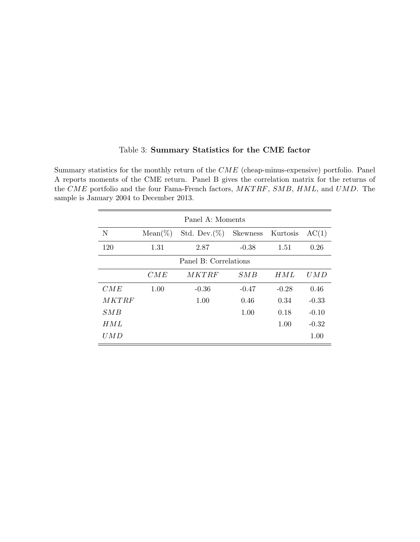|              |            | Panel A: Moments      |          |          |         |
|--------------|------------|-----------------------|----------|----------|---------|
| N            | $Mean(\%)$ | Std. Dev. $(\%)$      | Skewness | Kurtosis | AC(1)   |
| 120          | 1.31       | 2.87                  | $-0.38$  | 1.51     | 0.26    |
|              |            | Panel B: Correlations |          |          |         |
|              | CME        | MKTRF                 | SM B     | HML      | U M D   |
| CME          | 1.00       | $-0.36$               | $-0.47$  | $-0.28$  | 0.46    |
| <i>MKTRF</i> |            | 1.00                  | 0.46     | 0.34     | $-0.33$ |
| SM B         |            |                       | 1.00     | 0.18     | $-0.10$ |
| H M L        |            |                       |          | 1.00     | $-0.32$ |
| UMD          |            |                       |          |          | 1.00    |

#### <span id="page-49-0"></span>Table 3: Summary Statistics for the CME factor

Summary statistics for the monthly return of the CME (cheap-minus-expensive) portfolio. Panel A reports moments of the CME return. Panel B gives the correlation matrix for the returns of the CME portfolio and the four Fama-French factors,  $MKTRF$ ,  $SMB$ ,  $HML$ , and  $UMD$ . The sample is January 2004 to December 2013.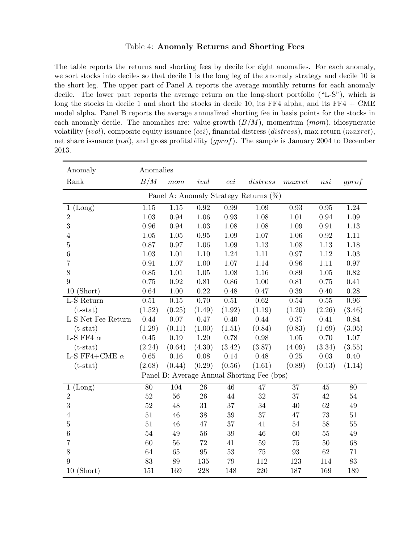#### <span id="page-50-0"></span>Table 4: Anomaly Returns and Shorting Fees

The table reports the returns and shorting fees by decile for eight anomalies. For each anomaly, we sort stocks into deciles so that decile 1 is the long leg of the anomaly strategy and decile 10 is the short leg. The upper part of Panel A reports the average monthly returns for each anomaly decile. The lower part reports the average return on the long-short portfolio ("L-S"), which is long the stocks in decile 1 and short the stocks in decile 10, its  $FF4$  alpha, and its  $FF4 + CME$ model alpha. Panel B reports the average annualized shorting fee in basis points for the stocks in each anomaly decile. The anomalies are: value-growth  $(B/M)$ , momentum  $(mom)$ , idiosyncratic volatility  $(ivol)$ , composite equity issuance  $(cei)$ , financial distress  $(distress)$ , max return  $(maxret)$ , net share issuance (*nsi*), and gross profitability (*gprof*). The sample is January 2004 to December 2013.

| Anomaly                | Anomalies |                   |          |        |                                            |          |        |          |
|------------------------|-----------|-------------------|----------|--------|--------------------------------------------|----------|--------|----------|
| Rank                   | B/M       | mom               | ivol     | cei    | distress                                   | maxret   | nsi    | gprof    |
|                        |           |                   |          |        | Panel A: Anomaly Strategy Returns (%)      |          |        |          |
| (Long)<br>$\mathbf{1}$ | $1.15\,$  | $\overline{1.15}$ | 0.92     | 0.99   | 1.09                                       | 0.93     | 0.95   | 1.24     |
| $\overline{2}$         | 1.03      | 0.94              | 1.06     | 0.93   | $1.08\,$                                   | 1.01     | 0.94   | 1.09     |
| 3                      | 0.96      | 0.94              | 1.03     | 1.08   | 1.08                                       | 1.09     | 0.91   | 1.13     |
| $\overline{4}$         | 1.05      | 1.05              | $0.95\,$ | 1.09   | 1.07                                       | 1.06     | 0.92   | 1.11     |
| $\overline{5}$         | 0.87      | $0.97\,$          | 1.06     | 1.09   | 1.13                                       | 1.08     | 1.13   | 1.18     |
| $\,6$                  | 1.03      | $1.01\,$          | $1.10\,$ | 1.24   | 1.11                                       | 0.97     | 1.12   | $1.03\,$ |
| $\overline{7}$         | 0.91      | 1.07              | 1.00     | 1.07   | 1.14                                       | 0.96     | 1.11   | 0.97     |
| 8                      | 0.85      | 1.01              | 1.05     | 1.08   | 1.16                                       | 0.89     | 1.05   | 0.82     |
| 9                      | 0.75      | 0.92              | $0.81\,$ | 0.86   | 1.00                                       | 0.81     | 0.75   | 0.41     |
| $10$ (Short)           | 0.64      | $1.00\,$          | 0.22     | 0.48   | 0.47                                       | 0.39     | 0.40   | 0.28     |
| L-S Return             | 0.51      | 0.15              | 0.70     | 0.51   | 0.62                                       | $0.54\,$ | 0.55   | $0.96\,$ |
| $(t-stat)$             | (1.52)    | (0.25)            | (1.49)   | (1.92) | (1.19)                                     | (1.20)   | (2.26) | (3.46)   |
| L-S Net Fee Return     | 0.44      | 0.07              | 0.47     | 0.40   | 0.44                                       | 0.37     | 0.41   | 0.84     |
| $(t-stat)$             | (1.29)    | (0.11)            | (1.00)   | (1.51) | (0.84)                                     | (0.83)   | (1.69) | (3.05)   |
| L-S FF4 $\alpha$       | $0.45\,$  | $0.19\,$          | $1.20\,$ | 0.78   | 0.98                                       | $1.05\,$ | 0.70   | $1.07\,$ |
| $(t-stat)$             | (2.24)    | (0.64)            | (4.30)   | (3.42) | (3.87)                                     | (4.09)   | (3.34) | (3.55)   |
| L-S FF4+CME $\alpha$   | 0.65      | 0.16              | 0.08     | 0.14   | 0.48                                       | $0.25\,$ | 0.03   | 0.40     |
| $(t-stat)$             | (2.68)    | (0.44)            | (0.29)   | (0.56) | (1.61)                                     | (0.89)   | (0.13) | (1.14)   |
|                        |           |                   |          |        | Panel B: Average Annual Shorting Fee (bps) |          |        |          |
| 1 (Long)               | 80        | 104               | 26       | 46     | 47                                         | 37       | 45     | 80       |
| $\overline{2}$         | 52        | 56                | 26       | 44     | 32                                         | 37       | 42     | $54\,$   |
| 3                      | $52\,$    | 48                | 31       | 37     | 34                                         | 40       | 62     | $49\,$   |
| $\overline{4}$         | 51        | 46                | 38       | 39     | 37                                         | 47       | 73     | 51       |
| $\overline{5}$         | 51        | 46                | 47       | 37     | 41                                         | $54\,$   | 58     | $55\,$   |
| $\,6\,$                | 54        | $49\,$            | 56       | 39     | $46\,$                                     | 60       | 55     | $\rm 49$ |
| $\overline{7}$         | 60        | 56                | 72       | 41     | $59\,$                                     | 75       | $50\,$ | 68       |
| $8\,$                  | 64        | 65                | $\rm 95$ | 53     | $75\,$                                     | 93       | 62     | $71\,$   |
| 9                      | 83        | $89\,$            | 135      | 79     | 112                                        | 123      | 114    | 83       |
| $10$ (Short)           | 151       | 169               | 228      | 148    | 220                                        | 187      | 169    | 189      |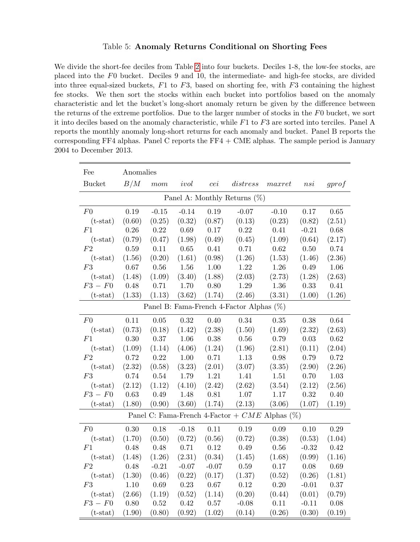#### <span id="page-51-0"></span>Table 5: Anomaly Returns Conditional on Shorting Fees

We divide the short-fee deciles from Table [2](#page-48-0) into four buckets. Deciles 1-8, the low-fee stocks, are placed into the F0 bucket. Deciles 9 and 10, the intermediate- and high-fee stocks, are divided into three equal-sized buckets,  $F1$  to  $F3$ , based on shorting fee, with  $F3$  containing the highest fee stocks. We then sort the stocks within each bucket into portfolios based on the anomaly characteristic and let the bucket's long-short anomaly return be given by the difference between the returns of the extreme portfolios. Due to the larger number of stocks in the F0 bucket, we sort it into deciles based on the anomaly characteristic, while  $F1$  to  $F3$  are sorted into terciles. Panel A reports the monthly anomaly long-short returns for each anomaly and bucket. Panel B reports the corresponding FF4 alphas. Panel C reports the  $FF4 + CME$  alphas. The sample period is January 2004 to December 2013.

| Fee            | Anomalies |          |         |          |                                                     |          |          |          |
|----------------|-----------|----------|---------|----------|-----------------------------------------------------|----------|----------|----------|
| <b>Bucket</b>  | B/M       | mom      | ivol    | cei      | distress                                            | maxret   | nsi      | gprof    |
|                |           |          |         |          | Panel A: Monthly Returns $(\%)$                     |          |          |          |
| F <sub>0</sub> | 0.19      | $-0.15$  | $-0.14$ | 0.19     | $-0.07$                                             | $-0.10$  | 0.17     | 0.65     |
| $(t-stat)$     | (0.60)    | (0.25)   | (0.32)  | (0.87)   | (0.13)                                              | (0.23)   | (0.82)   | (2.51)   |
| F1             | 0.26      | 0.22     | 0.69    | 0.17     | 0.22                                                | 0.41     | $-0.21$  | 0.68     |
| $(t-stat)$     | (0.79)    | (0.47)   | (1.98)  | (0.49)   | (0.45)                                              | (1.09)   | (0.64)   | (2.17)   |
| F2             | $0.59\,$  | 0.11     | 0.65    | 0.41     | 0.71                                                | 0.62     | $0.50\,$ | 0.74     |
| $(t-stat)$     | (1.56)    | (0.20)   | (1.61)  | (0.98)   | (1.26)                                              | (1.53)   | (1.46)   | (2.36)   |
| F3             | 0.67      | 0.56     | 1.56    | $1.00\,$ | 1.22                                                | 1.26     | 0.49     | 1.06     |
| $(t-stat)$     | (1.48)    | (1.09)   | (3.40)  | (1.88)   | (2.03)                                              | (2.73)   | (1.28)   | (2.63)   |
| $F3-F0$        | 0.48      | 0.71     | 1.70    | 0.80     | 1.29                                                | 1.36     | 0.33     | 0.41     |
| $(t-stat)$     | (1.33)    | (1.13)   | (3.62)  | (1.74)   | (2.46)                                              | (3.31)   | (1.00)   | (1.26)   |
|                |           |          |         |          | Panel B: Fama-French 4-Factor Alphas (%)            |          |          |          |
| F <sub>0</sub> | 0.11      | $0.05\,$ | 0.32    | 0.40     | 0.34                                                | 0.35     | 0.38     | 0.64     |
| $(t-stat)$     | (0.73)    | (0.18)   | (1.42)  | (2.38)   | (1.50)                                              | (1.69)   | (2.32)   | (2.63)   |
| F1             | 0.30      | 0.37     | 1.06    | 0.38     | $0.56\,$                                            | 0.79     | 0.03     | 0.62     |
| $(t-stat)$     | (1.09)    | (1.14)   | (4.06)  | (1.24)   | (1.96)                                              | (2.81)   | (0.11)   | (2.04)   |
| F2             | 0.72      | 0.22     | 1.00    | 0.71     | 1.13                                                | 0.98     | 0.79     | 0.72     |
| $(t-stat)$     | (2.32)    | (0.58)   | (3.23)  | (2.01)   | (3.07)                                              | (3.35)   | (2.90)   | (2.26)   |
| F3             | 0.74      | 0.54     | 1.79    | $1.21\,$ | 1.41                                                | 1.51     | 0.70     | $1.03\,$ |
| $(t-stat)$     | (2.12)    | (1.12)   | (4.10)  | (2.42)   | (2.62)                                              | (3.54)   | (2.12)   | (2.56)   |
| $F3-F0$        | 0.63      | 0.49     | 1.48    | 0.81     | 1.07                                                | 1.17     | 0.32     | 0.40     |
| $(t-stat)$     | (1.80)    | (0.90)   | (3.60)  | (1.74)   | (2.13)                                              | (3.06)   | (1.07)   | (1.19)   |
|                |           |          |         |          | Panel C: Fama-French 4-Factor + $CME$ Alphas $(\%)$ |          |          |          |
| F <sub>0</sub> | 0.30      | $0.18\,$ | $-0.18$ | 0.11     | $0.19\,$                                            | 0.09     | $0.10\,$ | 0.29     |
| $(t-stat)$     | (1.70)    | (0.50)   | (0.72)  | (0.56)   | (0.72)                                              | (0.38)   | (0.53)   | (1.04)   |
| F1             | 0.48      | 0.48     | 0.71    | 0.12     | 0.49                                                | 0.56     | $-0.32$  | 0.42     |
| $(t-stat)$     | (1.48)    | (1.26)   | (2.31)  | (0.34)   | (1.45)                                              | (1.68)   | (0.99)   | (1.16)   |
| F2             | 0.48      | $-0.21$  | $-0.07$ | $-0.07$  | $0.59\,$                                            | 0.17     | $0.08\,$ | 0.69     |
| $(t-stat)$     | (1.30)    | (0.46)   | (0.22)  | (0.17)   | (1.37)                                              | (0.52)   | (0.26)   | (1.81)   |
| F3             | $1.10\,$  | 0.69     | 0.23    | $0.67\,$ | $0.12\,$                                            | $0.20\,$ | $-0.01$  | $0.37\,$ |
| $(t-stat)$     | (2.66)    | (1.19)   | (0.52)  | (1.14)   | (0.20)                                              | (0.44)   | (0.01)   | (0.79)   |
| $F3-F0$        | 0.80      | 0.52     | 0.42    | 0.57     | $-0.08$                                             | 0.11     | $-0.11$  | 0.08     |
| $(t-stat)$     | (1.90)    | (0.80)   | (0.92)  | (1.02)   | (0.14)                                              | (0.26)   | (0.30)   | (0.19)   |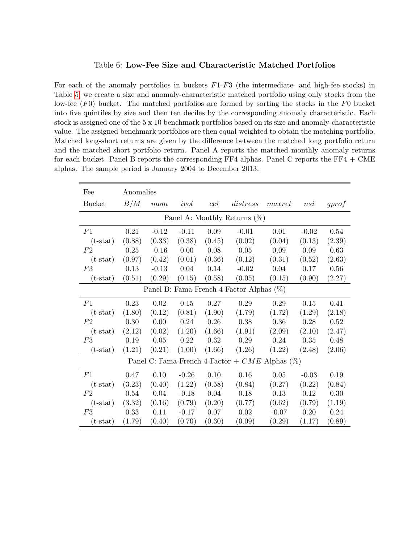#### <span id="page-52-0"></span>Table 6: Low-Fee Size and Characteristic Matched Portfolios

For each of the anomaly portfolios in buckets  $F1-F3$  (the intermediate- and high-fee stocks) in Table [5,](#page-51-0) we create a size and anomaly-characteristic matched portfolio using only stocks from the low-fee  $(F0)$  bucket. The matched portfolios are formed by sorting the stocks in the F0 bucket into five quintiles by size and then ten deciles by the corresponding anomaly characteristic. Each stock is assigned one of the 5 x 10 benchmark portfolios based on its size and anomaly-characteristic value. The assigned benchmark portfolios are then equal-weighted to obtain the matching portfolio. Matched long-short returns are given by the difference between the matched long portfolio return and the matched short portfolio return. Panel A reports the matched monthly anomaly returns for each bucket. Panel B reports the corresponding  $FF4$  alphas. Panel C reports the  $FF4 + CME$ alphas. The sample period is January 2004 to December 2013.

| Fee           | Anomalies |          |         |        |                                                     |         |         |        |
|---------------|-----------|----------|---------|--------|-----------------------------------------------------|---------|---------|--------|
| <b>Bucket</b> | B/M       | mom      | ivol    | cei    | distress                                            | maxret  | nsi     | gprof  |
|               |           |          |         |        | Panel A: Monthly Returns $(\%)$                     |         |         |        |
| F1            | 0.21      | $-0.12$  | $-0.11$ | 0.09   | $-0.01$                                             | 0.01    | $-0.02$ | 0.54   |
| $(t-stat)$    | (0.88)    | (0.33)   | (0.38)  | (0.45) | (0.02)                                              | (0.04)  | (0.13)  | (2.39) |
| F2            | $0.25\,$  | $-0.16$  | 0.00    | 0.08   | 0.05                                                | 0.09    | 0.09    | 0.63   |
| $(t-stat)$    | (0.97)    | (0.42)   | (0.01)  | (0.36) | (0.12)                                              | (0.31)  | (0.52)  | (2.63) |
| F3            | 0.13      | $-0.13$  | 0.04    | 0.14   | $-0.02$                                             | 0.04    | 0.17    | 0.56   |
| $(t-stat)$    | (0.51)    | (0.29)   | (0.15)  | (0.58) | (0.05)                                              | (0.15)  | (0.90)  | (2.27) |
|               |           |          |         |        | Panel B: Fama-French 4-Factor Alphas $(\%)$         |         |         |        |
| F1            | 0.23      | $0.02\,$ | 0.15    | 0.27   | 0.29                                                | 0.29    | 0.15    | 0.41   |
| $(t-stat)$    | (1.80)    | (0.12)   | (0.81)  | (1.90) | (1.79)                                              | (1.72)  | (1.29)  | (2.18) |
| F2            | 0.30      | 0.00     | 0.24    | 0.26   | 0.38                                                | 0.36    | 0.28    | 0.52   |
| $(t-stat)$    | (2.12)    | (0.02)   | (1.20)  | (1.66) | (1.91)                                              | (2.09)  | (2.10)  | (2.47) |
| F3            | 0.19      | 0.05     | 0.22    | 0.32   | 0.29                                                | 0.24    | 0.35    | 0.48   |
| $(t-stat)$    | (1.21)    | (0.21)   | (1.00)  | (1.66) | (1.26)                                              | (1.22)  | (2.48)  | (2.06) |
|               |           |          |         |        | Panel C: Fama-French 4-Factor + $CME$ Alphas $(\%)$ |         |         |        |
| F1            | 0.47      | 0.10     | $-0.26$ | 0.10   | 0.16                                                | 0.05    | $-0.03$ | 0.19   |
| $(t-stat)$    | (3.23)    | (0.40)   | (1.22)  | (0.58) | (0.84)                                              | (0.27)  | (0.22)  | (0.84) |
| F2            | 0.54      | 0.04     | $-0.18$ | 0.04   | 0.18                                                | 0.13    | 0.12    | 0.30   |
| $(t-stat)$    | (3.32)    | (0.16)   | (0.79)  | (0.20) | (0.77)                                              | (0.62)  | (0.79)  | (1.19) |
| F3            | 0.33      | 0.11     | $-0.17$ | 0.07   | 0.02                                                | $-0.07$ | 0.20    | 0.24   |
| $(t-stat)$    | (1.79)    | (0.40)   | (0.70)  | (0.30) | (0.09)                                              | (0.29)  | (1.17)  | (0.89) |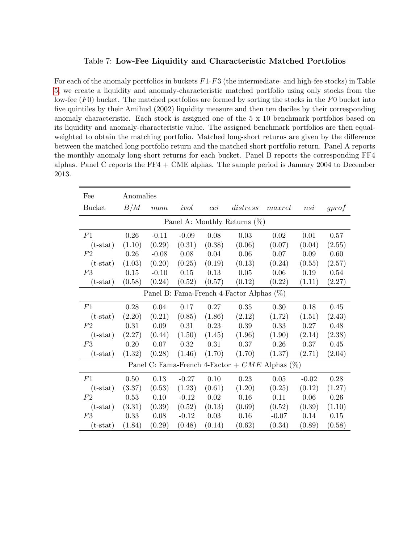#### <span id="page-53-0"></span>Table 7: Low-Fee Liquidity and Characteristic Matched Portfolios

For each of the anomaly portfolios in buckets  $F1-F3$  (the intermediate- and high-fee stocks) in Table [5,](#page-51-0) we create a liquidity and anomaly-characteristic matched portfolio using only stocks from the low-fee  $(F0)$  bucket. The matched portfolios are formed by sorting the stocks in the  $F0$  bucket into five quintiles by their Amihud (2002) liquidity measure and then ten deciles by their corresponding anomaly characteristic. Each stock is assigned one of the 5 x 10 benchmark portfolios based on its liquidity and anomaly-characteristic value. The assigned benchmark portfolios are then equalweighted to obtain the matching portfolio. Matched long-short returns are given by the difference between the matched long portfolio return and the matched short portfolio return. Panel A reports the monthly anomaly long-short returns for each bucket. Panel B reports the corresponding FF4 alphas. Panel C reports the FF4 + CME alphas. The sample period is January 2004 to December 2013.

| Fee           | Anomalies |         |         |        |                                                  |         |         |        |
|---------------|-----------|---------|---------|--------|--------------------------------------------------|---------|---------|--------|
| <b>Bucket</b> | B/M       | $mom$   | ivol    | cei    | distress                                         | maxret  | nsi     | gprof  |
|               |           |         |         |        | Panel A: Monthly Returns $(\%)$                  |         |         |        |
| F1            | 0.26      | $-0.11$ | $-0.09$ | 0.08   | 0.03                                             | 0.02    | 0.01    | 0.57   |
| $(t-stat)$    | (1.10)    | (0.29)  | (0.31)  | (0.38) | (0.06)                                           | (0.07)  | (0.04)  | (2.55) |
| F2            | $0.26\,$  | $-0.08$ | 0.08    | 0.04   | 0.06                                             | 0.07    | 0.09    | 0.60   |
| $(t-stat)$    | (1.03)    | (0.20)  | (0.25)  | (0.19) | (0.13)                                           | (0.24)  | (0.55)  | (2.57) |
| F3            | 0.15      | $-0.10$ | 0.15    | 0.13   | 0.05                                             | 0.06    | 0.19    | 0.54   |
| $(t-stat)$    | (0.58)    | (0.24)  | (0.52)  | (0.57) | (0.12)                                           | (0.22)  | (1.11)  | (2.27) |
|               |           |         |         |        | Panel B: Fama-French 4-Factor Alphas $(\%)$      |         |         |        |
| F1            | 0.28      | 0.04    | 0.17    | 0.27   | 0.35                                             | 0.30    | 0.18    | 0.45   |
| $(t-stat)$    | (2.20)    | (0.21)  | (0.85)  | (1.86) | (2.12)                                           | (1.72)  | (1.51)  | (2.43) |
| F2            | 0.31      | 0.09    | 0.31    | 0.23   | 0.39                                             | 0.33    | 0.27    | 0.48   |
| $(t-stat)$    | (2.27)    | (0.44)  | (1.50)  | (1.45) | (1.96)                                           | (1.90)  | (2.14)  | (2.38) |
| F3            | 0.20      | 0.07    | 0.32    | 0.31   | 0.37                                             | 0.26    | 0.37    | 0.45   |
| $(t-stat)$    | (1.32)    | (0.28)  | (1.46)  | (1.70) | (1.70)                                           | (1.37)  | (2.71)  | (2.04) |
|               |           |         |         |        | Panel C: Fama-French 4-Factor + $CME$ Alphas (%) |         |         |        |
| F1            | 0.50      | 0.13    | $-0.27$ | 0.10   | 0.23                                             | 0.05    | $-0.02$ | 0.28   |
| $(t-stat)$    | (3.37)    | (0.53)  | (1.23)  | (0.61) | (1.20)                                           | (0.25)  | (0.12)  | (1.27) |
| F2            | 0.53      | 0.10    | $-0.12$ | 0.02   | 0.16                                             | 0.11    | 0.06    | 0.26   |
| $(t-stat)$    | (3.31)    | (0.39)  | (0.52)  | (0.13) | (0.69)                                           | (0.52)  | (0.39)  | (1.10) |
| F3            | 0.33      | 0.08    | $-0.12$ | 0.03   | 0.16                                             | $-0.07$ | 0.14    | 0.15   |
| $(t-stat)$    | (1.84)    | (0.29)  | (0.48)  | (0.14) | (0.62)                                           | (0.34)  | (0.89)  | (0.58) |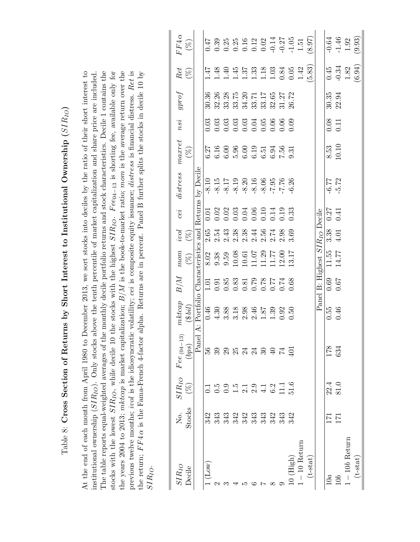| l                                                                                 |
|-----------------------------------------------------------------------------------|
|                                                                                   |
|                                                                                   |
|                                                                                   |
|                                                                                   |
| ֖֧֧ׅ֧ׅ֧֧֧֧֧֧֧֧֧֪ׅ֧֧֪ׅ֧֪ׅ֧֧֚֚֚֚֚֚֚֚֚֚֚֚֚֚֚֚֚֚֚֚֚֚֚֚֚֚֚֚֡֝֝֬֝֬֝֬֝֬֝֬֝֬֝֬֝֬֝֬֝֬֝֬֬֝֬ |
|                                                                                   |
| ֖֖֖֚֚֚֚֚֚֬                                                                        |
|                                                                                   |
|                                                                                   |
|                                                                                   |
| (                                                                                 |
|                                                                                   |
|                                                                                   |
|                                                                                   |
|                                                                                   |
|                                                                                   |
|                                                                                   |
|                                                                                   |
|                                                                                   |
|                                                                                   |
|                                                                                   |
|                                                                                   |
|                                                                                   |
|                                                                                   |
|                                                                                   |
|                                                                                   |
|                                                                                   |
|                                                                                   |
|                                                                                   |
|                                                                                   |
|                                                                                   |
|                                                                                   |
|                                                                                   |
|                                                                                   |
|                                                                                   |
|                                                                                   |
|                                                                                   |
| ć                                                                                 |
|                                                                                   |
|                                                                                   |
| A STRIP ATTACHES                                                                  |
| $\frac{1}{2}$                                                                     |
|                                                                                   |
|                                                                                   |
|                                                                                   |
|                                                                                   |
| $\ddot{\phantom{a}}$                                                              |
|                                                                                   |
|                                                                                   |
| ļ<br>٦                                                                            |
|                                                                                   |
|                                                                                   |
|                                                                                   |
|                                                                                   |
|                                                                                   |
| :<br>יהריה                                                                        |
| ;<br>;<br>;                                                                       |
| ׅ֚֚֕֡֡֡֡֡֡֡֝                                                                      |
|                                                                                   |
|                                                                                   |
|                                                                                   |
| ני<br>ול                                                                          |
|                                                                                   |
|                                                                                   |
|                                                                                   |
|                                                                                   |
|                                                                                   |
|                                                                                   |
|                                                                                   |
|                                                                                   |

stocks with the lowest  $SIR_{IO}$ , while decile 10 the stocks with the highest  $SIR_{IO}$ .  $Fee_{04-13}$  is shorting fee, available only for the years 2004 to 2013; mktcap is market capitalization;  $B/M$  is the book-to-market ratio; mom is the average return over the previous twelve months; *ivol* is the idiosyncratic volatility; cei is composite equity issuance; *distress* is financial distress. Ret is At the end of each month from April 1980 to December 2013, we sort stocks into deciles by the ratio of their short interest to institutional ownership  $(SIR_{IO})$ . Only stocks above the tenth percentile of market capitalization and share price are included. The table reports equal-weighted averages of the monthly decile portfolio returns and stock characteristics. Decile 1 contains the the return;  $FF4\alpha$  is the Fama-French 4-factor alpha. Returns are in percent. Panel B further splits the stocks in decile 10 by At the end of each month from April 1980 to December 2013, we sort stocks into deciles by the ratio of their short interest to institutional ownership (SIRIO). Only stocks above the tenth percentile of market capitalization and share price are included. The table reports equal-weighted averages of the monthly decile portfolio returns and stock characteristics. Decile 1 contains the stocks with the lowest SIR<sub>IO</sub>, while decile 10 the stocks with the highest SIR<sub>IO</sub>. Fee<sub>04−13</sub> is shorting fee, available only for the years 2004 to 2013; mktcap is market capitalization;  $B/M$  is the book-to-market ratio; mom is the average return over the consideration over the conservation over the conservation of the conservation of the conservati previous twelve months; ivol is the idiosyncratic volatility; cei is composite equity issuance; distress is financial distress. Ret is the return;  $FF4\alpha$  is the Fama-French 4-factor alpha. Returns are in percent. Panel B further splits the stocks in decile 10 by SIRIO.

<span id="page-54-0"></span>

| $SIR_{IO}$        | $\overline{R}$ .                                    |                     | $SIR_{IO}$ $\begin{array}{cc} \text{Free (04--13)} \\ \end{array}$ | mkcap        | B/M  | mom                                                                                                                                                                                                                                                                                                 | ivol                                                                    | cei  | distress                                                                                                                                    | maxret                                                                                 | nsi              | gproj                                                                                                                                                                                                                                                                                                     | Ret                                                                                 | $FF4\alpha$                                                                                               |
|-------------------|-----------------------------------------------------|---------------------|--------------------------------------------------------------------|--------------|------|-----------------------------------------------------------------------------------------------------------------------------------------------------------------------------------------------------------------------------------------------------------------------------------------------------|-------------------------------------------------------------------------|------|---------------------------------------------------------------------------------------------------------------------------------------------|----------------------------------------------------------------------------------------|------------------|-----------------------------------------------------------------------------------------------------------------------------------------------------------------------------------------------------------------------------------------------------------------------------------------------------------|-------------------------------------------------------------------------------------|-----------------------------------------------------------------------------------------------------------|
| Decile            | Stocks                                              | $(\%)$              | (bps)                                                              | (3bi)        |      | $(\%)$                                                                                                                                                                                                                                                                                              | $(\%)$                                                                  |      |                                                                                                                                             | $(\%)$                                                                                 |                  |                                                                                                                                                                                                                                                                                                           | $(\%)$                                                                              | $(\%)$                                                                                                    |
|                   |                                                     |                     | $_{\rm Panel}$                                                     | A: Portfolio |      |                                                                                                                                                                                                                                                                                                     |                                                                         |      | Characteristics and Returns by Decile                                                                                                       |                                                                                        |                  |                                                                                                                                                                                                                                                                                                           |                                                                                     |                                                                                                           |
| $(\text{Low})$    |                                                     |                     |                                                                    | 0.46         |      |                                                                                                                                                                                                                                                                                                     |                                                                         |      |                                                                                                                                             |                                                                                        |                  | 30.36                                                                                                                                                                                                                                                                                                     | 1.47                                                                                |                                                                                                           |
|                   |                                                     |                     |                                                                    |              |      |                                                                                                                                                                                                                                                                                                     |                                                                         |      |                                                                                                                                             |                                                                                        |                  |                                                                                                                                                                                                                                                                                                           |                                                                                     |                                                                                                           |
|                   |                                                     |                     |                                                                    |              |      |                                                                                                                                                                                                                                                                                                     |                                                                         |      |                                                                                                                                             |                                                                                        |                  |                                                                                                                                                                                                                                                                                                           |                                                                                     |                                                                                                           |
|                   |                                                     |                     |                                                                    |              |      |                                                                                                                                                                                                                                                                                                     |                                                                         |      |                                                                                                                                             |                                                                                        |                  |                                                                                                                                                                                                                                                                                                           |                                                                                     |                                                                                                           |
|                   | 1<br>स स स स स स स स स<br>5 5 5 6 5 6 6 7 7 8 9 9 9 |                     | <u>នួនទំនួង។ មិន មិន</u>                                           |              |      | $\begin{array}{l} 8.02 \\ 9.38 \\ 9.59 \\ 10.08 \\ 10.07 \\ 11.07 \\ 12.00 \\ 13.17 \\ 13.17 \\ 13.17 \\ 13.17 \\ 13.17 \\ 13.17 \\ 13.17 \\ 13.17 \\ 13.17 \\ 13.17 \\ 13.17 \\ 13.17 \\ 13.17 \\ 13.17 \\ 13.17 \\ 13.17 \\ 13.17 \\ 13.17 \\ 13.17 \\ 13.17 \\ 13.17 \\ 13.17 \\ 13.17 \\ 13.17$ | 65 4 56 86 46 56 56<br>6 5 4 5 5 5 4 5 5 6 6<br>6 6 7 5 6 7 6 7 6 7 6 7 |      | $-8.15$<br>$-8.17$<br>$-8.19$<br>$-8.20$<br>$-8.30$<br>$-8.40$<br>$-8.40$<br>$-8.40$<br>$-8.40$<br>$-8.40$<br>$-8.40$<br>$-8.40$<br>$-8.40$ | $77.27$<br>$6.30000$<br>$6.5000$<br>$6.5000$<br>$6.500$<br>$6.500$<br>$6.50$<br>$6.50$ |                  | $\begin{array}{l} 32.26 \\ 33.32 \\ 33.34.20 \\ 33.41 \\ 33.51 \\ 33.53 \\ 33.53 \\ 33.53 \\ 34.72 \\ 35.72 \\ 36.72 \\ 36.73 \\ 38.1 \\ 39.1 \\ 30.7 \\ 30.7 \\ 30.7 \\ 30.7 \\ 30.7 \\ 30.7 \\ 30.7 \\ 30.7 \\ 30.7 \\ 30.7 \\ 30.7 \\ 30.7 \\ 30.7 \\ 30.7 \\ 30.7 \\ 30.7 \\ 30.7 \\ 30.7 \\ 30.7 \\$ |                                                                                     |                                                                                                           |
|                   |                                                     |                     |                                                                    |              |      |                                                                                                                                                                                                                                                                                                     |                                                                         |      |                                                                                                                                             |                                                                                        |                  |                                                                                                                                                                                                                                                                                                           |                                                                                     |                                                                                                           |
|                   |                                                     |                     |                                                                    |              |      |                                                                                                                                                                                                                                                                                                     |                                                                         |      |                                                                                                                                             |                                                                                        |                  |                                                                                                                                                                                                                                                                                                           |                                                                                     |                                                                                                           |
|                   |                                                     |                     |                                                                    |              |      |                                                                                                                                                                                                                                                                                                     |                                                                         |      |                                                                                                                                             |                                                                                        |                  |                                                                                                                                                                                                                                                                                                           |                                                                                     |                                                                                                           |
|                   |                                                     |                     |                                                                    |              |      |                                                                                                                                                                                                                                                                                                     |                                                                         |      |                                                                                                                                             |                                                                                        |                  |                                                                                                                                                                                                                                                                                                           |                                                                                     |                                                                                                           |
| $10$ (High)       |                                                     |                     |                                                                    |              |      |                                                                                                                                                                                                                                                                                                     |                                                                         |      |                                                                                                                                             |                                                                                        |                  |                                                                                                                                                                                                                                                                                                           | $\begin{array}{c} 1.48 \\ 1.49 \\ 1.57 \\ 1.33 \\ 1.40 \\ 0.84 \\ 0.05 \end{array}$ | $0.47$<br>$0.358$<br>$0.258$<br>$0.252$<br>$0.252$<br>$0.257$<br>$0.257$<br>$0.257$<br>$0.257$<br>$0.257$ |
| $-10$ Return      |                                                     |                     |                                                                    |              |      |                                                                                                                                                                                                                                                                                                     |                                                                         |      |                                                                                                                                             |                                                                                        |                  |                                                                                                                                                                                                                                                                                                           | 1.42                                                                                |                                                                                                           |
| $(\mbox{t-stat})$ |                                                     |                     |                                                                    |              |      |                                                                                                                                                                                                                                                                                                     |                                                                         |      |                                                                                                                                             |                                                                                        |                  |                                                                                                                                                                                                                                                                                                           | 5.83)                                                                               | (8.97)                                                                                                    |
|                   |                                                     |                     |                                                                    |              |      | Panel B: Highest SIR <sub>IO</sub> Decile                                                                                                                                                                                                                                                           |                                                                         |      |                                                                                                                                             |                                                                                        |                  |                                                                                                                                                                                                                                                                                                           |                                                                                     |                                                                                                           |
| $10a\,$           | 171                                                 | $\frac{22.4}{81.0}$ | $\sqrt{178}$                                                       | 0.55         | 0.69 | $11.55$                                                                                                                                                                                                                                                                                             | 3.38                                                                    | 0.27 | $-6.77$                                                                                                                                     | $\begin{array}{c} 8.53 \\ 10.10 \end{array}$                                           | $0.08$<br>$0.11$ | 30.35                                                                                                                                                                                                                                                                                                     | 0.45                                                                                |                                                                                                           |
| 10 <sub>b</sub>   | 171                                                 |                     |                                                                    | 0.46         | 0.67 | 14.77                                                                                                                                                                                                                                                                                               | 4.01                                                                    | 0.41 | 5.72                                                                                                                                        |                                                                                        |                  | 22.94                                                                                                                                                                                                                                                                                                     |                                                                                     | $-0.64$<br>$-1.46$<br>$1.92$                                                                              |
| $1 - 10b$ Return  |                                                     |                     |                                                                    |              |      |                                                                                                                                                                                                                                                                                                     |                                                                         |      |                                                                                                                                             |                                                                                        |                  |                                                                                                                                                                                                                                                                                                           | $\begin{array}{c} -0.34 \\ 1.82 \end{array}$                                        |                                                                                                           |
| $(t - stat)$      |                                                     |                     |                                                                    |              |      |                                                                                                                                                                                                                                                                                                     |                                                                         |      |                                                                                                                                             |                                                                                        |                  |                                                                                                                                                                                                                                                                                                           | (6.94)                                                                              | (9.93)                                                                                                    |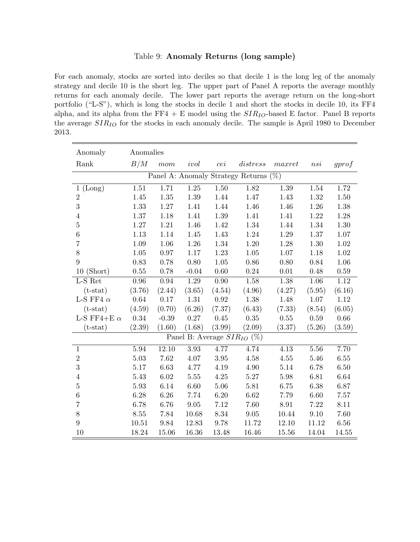#### <span id="page-55-0"></span>Table 9: Anomaly Returns (long sample)

For each anomaly, stocks are sorted into deciles so that decile 1 is the long leg of the anomaly strategy and decile 10 is the short leg. The upper part of Panel A reports the average monthly returns for each anomaly decile. The lower part reports the average return on the long-short portfolio ("L-S"), which is long the stocks in decile 1 and short the stocks in decile 10, its FF4 alpha, and its alpha from the FF4 + E model using the  $SIR_{IO}$ -based E factor. Panel B reports the average  $SIR_{IO}$  for the stocks in each anomaly decile. The sample is April 1980 to December 2013.

| Anomaly                | Anomalies |          |          |        |                                       |          |          |          |
|------------------------|-----------|----------|----------|--------|---------------------------------------|----------|----------|----------|
| Rank                   | B/M       | mom      | ivol     | cei    | distress                              | maxret   | nsi      | gprof    |
|                        |           |          |          |        | Panel A: Anomaly Strategy Returns (%) |          |          |          |
| (Long)<br>$\mathbf{1}$ | 1.51      | 1.71     | 1.25     | 1.50   | 1.82                                  | 1.39     | 1.54     | 1.72     |
| $\overline{2}$         | 1.45      | 1.35     | 1.39     | 1.44   | 1.47                                  | 1.43     | 1.32     | 1.50     |
| $\overline{3}$         | 1.33      | $1.27\,$ | 1.41     | 1.44   | 1.46                                  | 1.46     | 1.26     | 1.38     |
| $\overline{4}$         | $1.37\,$  | 1.18     | 1.41     | 1.39   | 1.41                                  | 1.41     | 1.22     | 1.28     |
| $\overline{5}$         | 1.27      | 1.21     | 1.46     | 1.42   | 1.34                                  | 1.44     | 1.34     | 1.30     |
| $6\phantom{.}6$        | 1.13      | 1.14     | 1.45     | 1.43   | 1.24                                  | 1.29     | 1.37     | $1.07\,$ |
| $\overline{7}$         | 1.09      | 1.06     | 1.26     | 1.34   | 1.20                                  | 1.28     | 1.30     | 1.02     |
| $8\,$                  | $1.05\,$  | $0.97\,$ | $1.17\,$ | 1.23   | $1.05\,$                              | $1.07\,$ | 1.18     | $1.02\,$ |
| 9                      | 0.83      | 0.78     | 0.80     | 1.05   | 0.86                                  | 0.80     | 0.84     | 1.06     |
| $10$ (Short)           | $0.55\,$  | 0.78     | $-0.04$  | 0.60   | 0.24                                  | 0.01     | 0.48     | $0.59\,$ |
| L-S Ret                | $0.96\,$  | 0.94     | 1.29     | 0.90   | 1.58                                  | 1.38     | 1.06     | 1.12     |
| $(t-stat)$             | (3.76)    | (2.44)   | (3.65)   | (4.54) | (4.96)                                | (4.27)   | (5.95)   | (6.16)   |
| L-S FF4 $\alpha$       | 0.64      | 0.17     | $1.31\,$ | 0.92   | 1.38                                  | 1.48     | $1.07\,$ | 1.12     |
| $(t-stat)$             | (4.59)    | (0.70)   | (6.26)   | (7.37) | (6.43)                                | (7.33)   | (8.54)   | (6.05)   |
| L-S FF4+E $\alpha$     | 0.34      | $-0.39$  | 0.27     | 0.45   | 0.35                                  | 0.55     | 0.59     | 0.66     |
| $(t-stat)$             | (2.39)    | (1.60)   | (1.68)   | (3.99) | (2.09)                                | (3.37)   | (5.26)   | (3.59)   |
|                        |           |          |          |        | Panel B: Average $SIR_{IO}$ (%)       |          |          |          |
| $1\,$                  | 5.94      | 12.10    | 3.93     | 4.77   | 4.74                                  | 4.13     | 5.56     | 7.70     |
| $\sqrt{2}$             | 5.03      | 7.62     | 4.07     | 3.95   | 4.58                                  | 4.55     | 5.46     | $6.55\,$ |
| 3                      | 5.17      | 6.63     | 4.77     | 4.19   | 4.90                                  | 5.14     | 6.78     | 6.50     |
| $\overline{4}$         | 5.43      | 6.02     | 5.55     | 4.25   | 5.27                                  | 5.98     | 6.81     | 6.64     |
| $\bf 5$                | 5.93      | 6.14     | 6.60     | 5.06   | 5.81                                  | 6.75     | 6.38     | 6.87     |
| $6\phantom{.}6$        | 6.28      | 6.26     | 7.74     | 6.20   | 6.62                                  | 7.79     | 6.60     | 7.57     |
| $\overline{7}$         | 6.78      | 6.76     | $\,9.05$ | 7.12   | 7.60                                  | 8.91     | 7.22     | 8.11     |
| 8                      | 8.55      | 7.84     | 10.68    | 8.34   | 9.05                                  | 10.44    | 9.10     | 7.60     |
| $9\phantom{.}$         | 10.51     | 9.84     | 12.83    | 9.78   | 11.72                                 | 12.10    | 11.12    | 6.56     |
| 10                     | 18.24     | 15.06    | 16.36    | 13.48  | 16.46                                 | 15.56    | 14.04    | 14.55    |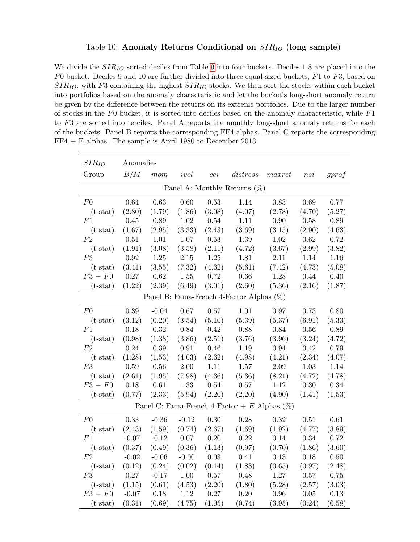#### <span id="page-56-0"></span>Table 10: Anomaly Returns Conditional on  $SIR_{IO}$  (long sample)

We divide the  $SIR_{IO}$ -sorted deciles from Table [9](#page-55-0) into four buckets. Deciles 1-8 are placed into the  $F0$  bucket. Deciles 9 and 10 are further divided into three equal-sized buckets,  $F1$  to  $F3$ , based on  $SIR_{IO}$ , with F3 containing the highest  $SIR_{IO}$  stocks. We then sort the stocks within each bucket into portfolios based on the anomaly characteristic and let the bucket's long-short anomaly return be given by the difference between the returns on its extreme portfolios. Due to the larger number of stocks in the  $F0$  bucket, it is sorted into deciles based on the anomaly characteristic, while  $F1$ to F3 are sorted into terciles. Panel A reports the monthly long-short anomaly returns for each of the buckets. Panel B reports the corresponding FF4 alphas. Panel C reports the corresponding FF4 + E alphas. The sample is April 1980 to December 2013.

| $SIR_{IO}$     | Anomalies |         |            |          |                                                 |        |          |          |
|----------------|-----------|---------|------------|----------|-------------------------------------------------|--------|----------|----------|
| Group          | B/M       | mom     | ivol       | cei      | distress                                        | maxret | nsi      | gprof    |
|                |           |         |            |          | Panel A: Monthly Returns $(\%)$                 |        |          |          |
| F <sub>0</sub> | 0.64      | 0.63    | 0.60       | 0.53     | 1.14                                            | 0.83   | 0.69     | 0.77     |
| $(t-stat)$     | (2.80)    | (1.79)  | (1.86)     | (3.08)   | (4.07)                                          | (2.78) | (4.70)   | (5.27)   |
| F1             | 0.45      | 0.89    | $1.02\,$   | $0.54\,$ | 1.11                                            | 0.90   | $0.58\,$ | 0.89     |
| $(t-stat)$     | (1.67)    | (2.95)  | (3.33)     | (2.43)   | (3.69)                                          | (3.15) | (2.90)   | (4.63)   |
| F <sub>2</sub> | 0.51      | 1.01    | 1.07       | 0.53     | 1.39                                            | 1.02   | 0.62     | 0.72     |
| $(t-stat)$     | (1.91)    | (3.08)  | (3.58)     | (2.11)   | (4.72)                                          | (3.67) | (2.99)   | (3.82)   |
| F3             | 0.92      | 1.25    | 2.15       | 1.25     | 1.81                                            | 2.11   | 1.14     | 1.16     |
| $(t-stat)$     | (3.41)    | (3.55)  | (7.32)     | (4.32)   | (5.61)                                          | (7.42) | (4.73)   | (5.08)   |
| $F3-F0$        | 0.27      | 0.62    | 1.55       | 0.72     | 0.66                                            | 1.28   | 0.44     | 0.40     |
| $(t-stat)$     | (1.22)    | (2.39)  | (6.49)     | (3.01)   | (2.60)                                          | (5.36) | (2.16)   | (1.87)   |
|                |           |         |            |          | Panel B: Fama-French 4-Factor Alphas (%)        |        |          |          |
| F <sub>0</sub> | 0.39      | $-0.04$ | 0.67       | 0.57     | 1.01                                            | 0.97   | 0.73     | 0.80     |
| $(t-stat)$     | (3.12)    | (0.20)  | (3.54)     | (5.10)   | (5.39)                                          | (5.37) | (6.91)   | (5.33)   |
| F1             | 0.18      | 0.32    | 0.84       | 0.42     | 0.88                                            | 0.84   | $0.56\,$ | 0.89     |
| $(t-stat)$     | (0.98)    | (1.38)  | (3.86)     | (2.51)   | (3.76)                                          | (3.96) | (3.24)   | (4.72)   |
| F2             | 0.24      | 0.39    | $\rm 0.91$ | 0.46     | 1.19                                            | 0.94   | 0.42     | 0.79     |
| $(t-stat)$     | (1.28)    | (1.53)  | (4.03)     | (2.32)   | (4.98)                                          | (4.21) | (2.34)   | (4.07)   |
| F3             | 0.59      | 0.56    | 2.00       | $1.11\,$ | 1.57                                            | 2.09   | 1.03     | 1.14     |
| $(t-stat)$     | (2.61)    | (1.95)  | (7.98)     | (4.36)   | (5.36)                                          | (8.21) | (4.72)   | (4.78)   |
| $F3-F0$        | 0.18      | 0.61    | 1.33       | 0.54     | 0.57                                            | 1.12   | 0.30     | 0.34     |
| $(t-stat)$     | (0.77)    | (2.33)  | (5.94)     | (2.20)   | (2.20)                                          | (4.90) | (1.41)   | (1.53)   |
|                |           |         |            |          | Panel C: Fama-French 4-Factor + E Alphas $(\%)$ |        |          |          |
| F <sub>0</sub> | 0.33      | $-0.36$ | $-0.12$    | 0.30     | 0.28                                            | 0.32   | 0.51     | 0.61     |
| $(t-stat)$     | (2.43)    | (1.59)  | (0.74)     | (2.67)   | (1.69)                                          | (1.92) | (4.77)   | (3.89)   |
| F1             | $-0.07$   | $-0.12$ | $0.07\,$   | $0.20\,$ | 0.22                                            | 0.14   | $0.34\,$ | 0.72     |
| $(t-stat)$     | (0.37)    | (0.49)  | (0.36)     | (1.13)   | (0.97)                                          | (0.70) | (1.86)   | (3.60)   |
| F <sub>2</sub> | $-0.02$   | $-0.06$ | $-0.00$    | $0.03\,$ | 0.41                                            | 0.13   | 0.18     | $0.50\,$ |
| $(t-stat)$     | (0.12)    | (0.24)  | (0.02)     | (0.14)   | (1.83)                                          | (0.65) | (0.97)   | (2.48)   |
| F3             | 0.27      | $-0.17$ | $1.00\,$   | 0.57     | 0.48                                            | 1.27   | $0.57\,$ | 0.75     |
| $(t-stat)$     | (1.15)    | (0.61)  | (4.53)     | (2.20)   | (1.80)                                          | (5.28) | (2.57)   | (3.03)   |
| $F3-F0$        | $-0.07$   | 0.18    | 1.12       | 0.27     | 0.20                                            | 0.96   | $0.05\,$ | 0.13     |
| $(t-stat)$     | (0.31)    | (0.69)  | (4.75)     | (1.05)   | (0.74)                                          | (3.95) | (0.24)   | (0.58)   |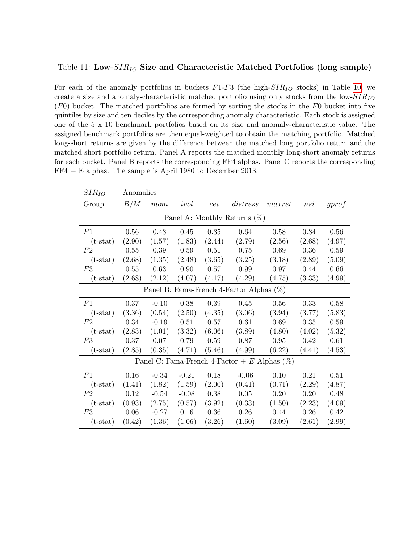#### <span id="page-57-0"></span>Table 11: Low- $SIR_{IO}$  Size and Characteristic Matched Portfolios (long sample)

For each of the anomaly portfolios in buckets  $F1-F3$  (the high- $SIR_{IO}$  stocks) in Table [10,](#page-56-0) we create a size and anomaly-characteristic matched portfolio using only stocks from the low- $SIR_{IO}$  $(F0)$  bucket. The matched portfolios are formed by sorting the stocks in the  $F0$  bucket into five quintiles by size and ten deciles by the corresponding anomaly characteristic. Each stock is assigned one of the 5 x 10 benchmark portfolios based on its size and anomaly-characteristic value. The assigned benchmark portfolios are then equal-weighted to obtain the matching portfolio. Matched long-short returns are given by the difference between the matched long portfolio return and the matched short portfolio return. Panel A reports the matched monthly long-short anomaly returns for each bucket. Panel B reports the corresponding FF4 alphas. Panel C reports the corresponding FF4 + E alphas. The sample is April 1980 to December 2013.

| $SIR_{IO}$ | Anomalies |         |         |        |                                                 |        |        |                      |
|------------|-----------|---------|---------|--------|-------------------------------------------------|--------|--------|----------------------|
| Group      | B/M       | mom     | ivol    | cei    | distress                                        | maxret | nsi    | gprof                |
|            |           |         |         |        | Panel A: Monthly Returns $(\%)$                 |        |        |                      |
| F1         | 0.56      | 0.43    | 0.45    | 0.35   | 0.64                                            | 0.58   | 0.34   | 0.56                 |
| $(t-stat)$ | (2.90)    | (1.57)  | (1.83)  | (2.44) | (2.79)                                          | (2.56) | (2.68) | (4.97)               |
| F2         | 0.55      | 0.39    | 0.59    | 0.51   | 0.75                                            | 0.69   | 0.36   | 0.59                 |
| $(t-stat)$ | (2.68)    | (1.35)  | (2.48)  | (3.65) | (3.25)                                          | (3.18) | (2.89) | (5.09)               |
| F3         | 0.55      | 0.63    | 0.90    | 0.57   | 0.99                                            | 0.97   | 0.44   | 0.66                 |
| $(t-stat)$ | (2.68)    | (2.12)  | (4.07)  | (4.17) | (4.29)                                          | (4.75) | (3.33) | (4.99)               |
|            |           |         |         |        | Panel B: Fama-French 4-Factor Alphas $(\%)$     |        |        |                      |
| F1         | 0.37      | $-0.10$ | 0.38    | 0.39   | 0.45                                            | 0.56   | 0.33   | 0.58                 |
| $(t-stat)$ | (3.36)    | (0.54)  | (2.50)  | (4.35) | (3.06)                                          | (3.94) | (3.77) | (5.83)               |
| F2         | 0.34      | $-0.19$ | 0.51    | 0.57   | 0.61                                            | 0.69   | 0.35   | 0.59                 |
| $(t-stat)$ | (2.83)    | (1.01)  | (3.32)  | (6.06) | (3.89)                                          | (4.80) | (4.02) | (5.32)               |
| F3         | 0.37      | 0.07    | 0.79    | 0.59   | 0.87                                            | 0.95   | 0.42   | 0.61                 |
| $(t-stat)$ | (2.85)    | (0.35)  | (4.71)  | (5.46) | (4.99)                                          | (6.22) | (4.41) | (4.53)               |
|            |           |         |         |        | Panel C: Fama-French 4-Factor + E Alphas $(\%)$ |        |        |                      |
| F1         | 0.16      | $-0.34$ | $-0.21$ | 0.18   | $-0.06$                                         | 0.10   | 0.21   | 0.51                 |
| $(t-stat)$ | (1.41)    | (1.82)  | (1.59)  | (2.00) | (0.41)                                          | (0.71) | (2.29) | (4.87)               |
| F2         | 0.12      | $-0.54$ | $-0.08$ | 0.38   | 0.05                                            | 0.20   | 0.20   | 0.48                 |
| $(t-stat)$ | (0.93)    | (2.75)  | (0.57)  | (3.92) | (0.33)                                          | (1.50) | (2.23) | (4.09)               |
| F3         | 0.06      | $-0.27$ | 0.16    | 0.36   | 0.26                                            | 0.44   | 0.26   | 0.42                 |
| $(t-stat)$ | (0.42)    | (1.36)  | (1.06)  | (3.26) | (1.60)                                          | (3.09) | (2.61) | $\left( 2.99\right)$ |